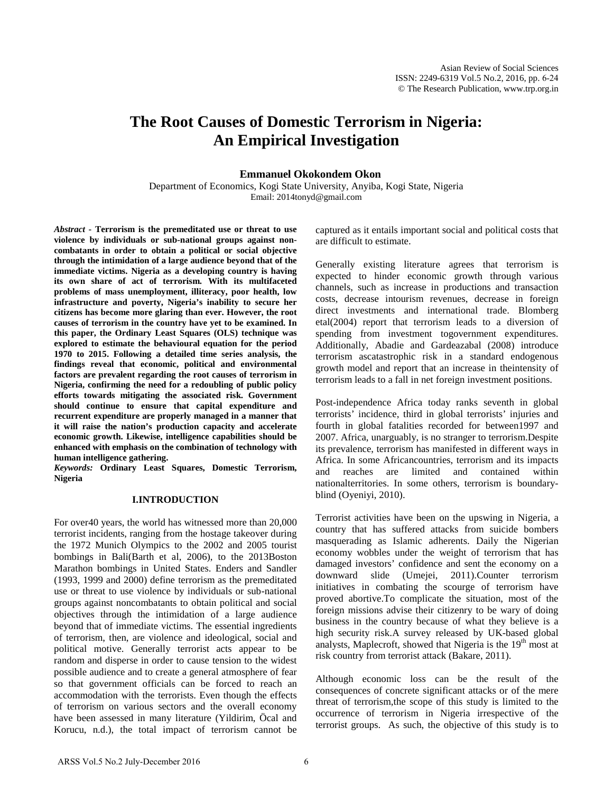# **The Root Causes of Domestic Terrorism in Nigeria: An Empirical Investigation**

# **Emmanuel Okokondem Okon**

Department of Economics, Kogi State University, Anyiba, Kogi State, Nigeria Email[: 2014tonyd@gmail.com](mailto:2014tonyd@gmail.com)

*Abstract* **- Terrorism is the premeditated use or threat to use violence by individuals or sub-national groups against noncombatants in order to obtain a political or social objective through the intimidation of a large audience beyond that of the immediate victims. Nigeria as a developing country is having its own share of act of terrorism. With its multifaceted problems of mass unemployment, illiteracy, poor health, low infrastructure and poverty, Nigeria's inability to secure her citizens has become more glaring than ever. However, the root causes of terrorism in the country have yet to be examined. In this paper, the Ordinary Least Squares (OLS) technique was explored to estimate the behavioural equation for the period 1970 to 2015. Following a detailed time series analysis, the findings reveal that economic, political and environmental factors are prevalent regarding the root causes of terrorism in Nigeria, confirming the need for a redoubling of public policy efforts towards mitigating the associated risk. Government should continue to ensure that capital expenditure and recurrent expenditure are properly managed in a manner that it will raise the nation's production capacity and accelerate economic growth. Likewise, intelligence capabilities should be enhanced with emphasis on the combination of technology with human intelligence gathering.** 

*Keywords:* **Ordinary Least Squares, Domestic Terrorism, Nigeria**

#### **I.INTRODUCTION**

For over40 years, the world has witnessed more than 20,000 terrorist incidents, ranging from the hostage takeover during the 1972 Munich Olympics to the 2002 and 2005 tourist bombings in Bali(Barth et al, 2006), to the 2013Boston Marathon bombings in United States. Enders and Sandler (1993, 1999 and 2000) define terrorism as the premeditated use or threat to use violence by individuals or sub-national groups against noncombatants to obtain political and social objectives through the intimidation of a large audience beyond that of immediate victims. The essential ingredients of terrorism, then, are violence and ideological, social and political motive. Generally terrorist acts appear to be random and disperse in order to cause tension to the widest possible audience and to create a general atmosphere of fear so that government officials can be forced to reach an accommodation with the terrorists. Even though the effects of terrorism on various sectors and the overall economy have been assessed in many literature (Yildirim, Öcal and Korucu, n.d.), the total impact of terrorism cannot be

captured as it entails important social and political costs that are difficult to estimate.

Generally existing literature agrees that terrorism is expected to hinder economic growth through various channels, such as increase in productions and transaction costs, decrease intourism revenues, decrease in foreign direct investments and international trade. Blomberg etal(2004) report that terrorism leads to a diversion of spending from investment togovernment expenditures. Additionally, Abadie and Gardeazabal (2008) introduce terrorism ascatastrophic risk in a standard endogenous growth model and report that an increase in theintensity of terrorism leads to a fall in net foreign investment positions.

Post-independence Africa today ranks seventh in global terrorists' incidence, third in global terrorists' injuries and fourth in global fatalities recorded for between1997 and 2007. Africa, unarguably, is no stranger to terrorism.Despite its prevalence, terrorism has manifested in different ways in Africa. In some Africancountries, terrorism and its impacts and reaches are limited and contained within nationalterritories. In some others, terrorism is boundaryblind (Oyeniyi, 2010).

Terrorist activities have been on the upswing in Nigeria, a country that has suffered attacks from suicide bombers masquerading as Islamic adherents. Daily the Nigerian economy wobbles under the weight of terrorism that has damaged investors' confidence and sent the economy on a downward slide [\(Umejei,](http://www.americandailyherald.com/feed/item/emeka-umejei) 2011).Counter terrorism initiatives in combating the scourge of terrorism have proved abortive.To complicate the situation, most of the foreign missions advise their citizenry to be wary of doing business in the country because of what they believe is a high security risk.A survey released by UK-based global analysts, Maplecroft, showed that Nigeria is the 19<sup>th</sup> most at risk country from terrorist attack (Bakare, 2011).

Although economic loss can be the result of the consequences of concrete significant attacks or of the mere threat of terrorism,the scope of this study is limited to the occurrence of terrorism in Nigeria irrespective of the terrorist groups. As such, the objective of this study is to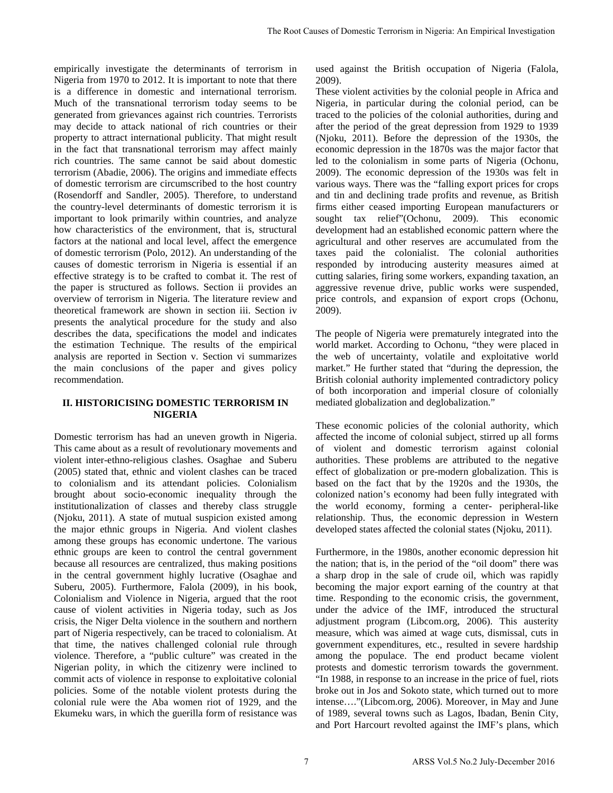empirically investigate the determinants of terrorism in Nigeria from 1970 to 2012. It is important to note that there is a difference in domestic and international terrorism. Much of the transnational terrorism today seems to be generated from grievances against rich countries. Terrorists may decide to attack national of rich countries or their property to attract international publicity. That might result in the fact that transnational terrorism may affect mainly rich countries. The same cannot be said about domestic terrorism (Abadie, 2006). The origins and immediate effects of domestic terrorism are circumscribed to the host country (Rosendorff and Sandler, 2005). Therefore, to understand the country-level determinants of domestic terrorism it is important to look primarily within countries, and analyze how characteristics of the environment, that is, structural factors at the national and local level, affect the emergence of domestic terrorism (Polo, 2012). An understanding of the causes of domestic terrorism in Nigeria is essential if an effective strategy is to be crafted to combat it. The rest of the paper is structured as follows. Section ii provides an overview of terrorism in Nigeria. The literature review and theoretical framework are shown in section iii. Section iv presents the analytical procedure for the study and also describes the data, specifications the model and indicates the estimation Technique. The results of the empirical analysis are reported in Section v. Section vi summarizes the main conclusions of the paper and gives policy recommendation.

# **II. HISTORICISING DOMESTIC TERRORISM IN NIGERIA**

Domestic terrorism has had an uneven growth in Nigeria. This came about as a result of revolutionary movements and violent inter-ethno-religious clashes. Osaghae and Suberu (2005) stated that, ethnic and violent clashes can be traced to colonialism and its attendant policies. Colonialism brought about socio-economic inequality through the institutionalization of classes and thereby class struggle (Njoku, 2011). A state of mutual suspicion existed among the major ethnic groups in Nigeria. And violent clashes among these groups has economic undertone. The various ethnic groups are keen to control the central government because all resources are centralized, thus making positions in the central government highly lucrative (Osaghae and Suberu, 2005). Furthermore, Falola (2009), in his book, Colonialism and Violence in Nigeria, argued that the root cause of violent activities in Nigeria today, such as Jos crisis, the Niger Delta violence in the southern and northern part of Nigeria respectively, can be traced to colonialism. At that time, the natives challenged colonial rule through violence. Therefore, a "public culture" was created in the Nigerian polity, in which the citizenry were inclined to commit acts of violence in response to exploitative colonial policies. Some of the notable violent protests during the colonial rule were the Aba women riot of 1929, and the Ekumeku wars, in which the guerilla form of resistance was

used against the British occupation of Nigeria (Falola, 2009).

These violent activities by the colonial people in Africa and Nigeria, in particular during the colonial period, can be traced to the policies of the colonial authorities, during and after the period of the great depression from 1929 to 1939 (Njoku, 2011). Before the depression of the 1930s, the economic depression in the 1870s was the major factor that led to the colonialism in some parts of Nigeria (Ochonu, 2009). The economic depression of the 1930s was felt in various ways. There was the "falling export prices for crops and tin and declining trade profits and revenue, as British firms either ceased importing European manufacturers or sought tax relief"(Ochonu, 2009). This economic development had an established economic pattern where the agricultural and other reserves are accumulated from the taxes paid the colonialist. The colonial authorities responded by introducing austerity measures aimed at cutting salaries, firing some workers, expanding taxation, an aggressive revenue drive, public works were suspended, price controls, and expansion of export crops (Ochonu, 2009). The Root Causas of Domestic Terrorism in Nigeria: An Empirical Investigation<br>
is the Root age (2009). The particular during the colonial people in Africa and<br>
the functions (and the Society and particular during the colon

The people of Nigeria were prematurely integrated into the world market. According to Ochonu, "they were placed in the web of uncertainty, volatile and exploitative world market." He further stated that "during the depression, the British colonial authority implemented contradictory policy of both incorporation and imperial closure of colonially mediated globalization and deglobalization."

These economic policies of the colonial authority, which affected the income of colonial subject, stirred up all forms of violent and domestic terrorism against colonial authorities. These problems are attributed to the negative effect of globalization or pre-modern globalization. This is based on the fact that by the 1920s and the 1930s, the colonized nation's economy had been fully integrated with the world economy, forming a center- peripheral-like relationship. Thus, the economic depression in Western developed states affected the colonial states (Njoku, 2011).

Furthermore, in the 1980s, another economic depression hit the nation; that is, in the period of the "oil doom" there was a sharp drop in the sale of crude oil, which was rapidly becoming the major export earning of the country at that time. Responding to the economic crisis, the government, under the advice of the IMF, introduced the structural adjustment program (Libcom.org, 2006). This austerity measure, which was aimed at wage cuts, dismissal, cuts in government expenditures, etc., resulted in severe hardship among the populace. The end product became violent protests and domestic terrorism towards the government. "In 1988, in response to an increase in the price of fuel, riots broke out in Jos and Sokoto state, which turned out to more intense…."(Libcom.org, 2006). Moreover, in May and June of 1989, several towns such as Lagos, Ibadan, Benin City, and Port Harcourt revolted against the IMF's plans, which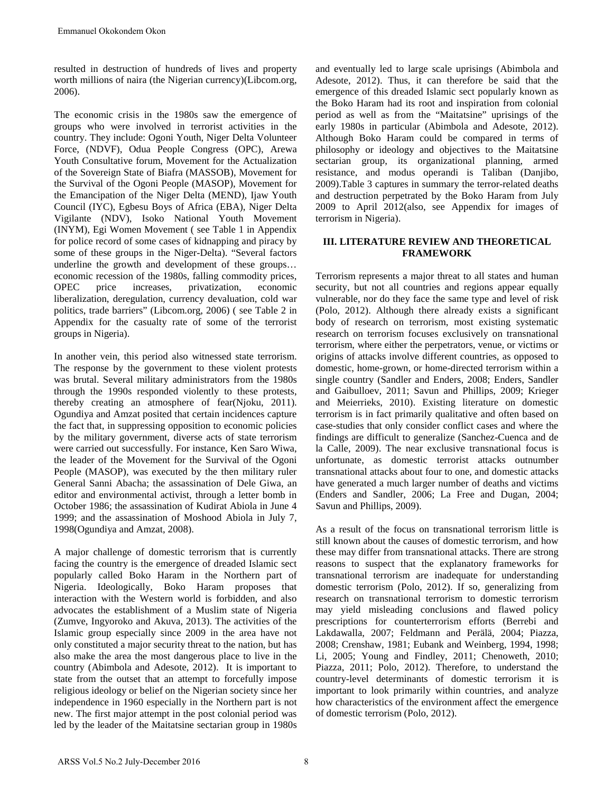resulted in destruction of hundreds of lives and property worth millions of naira (the Nigerian currency)(Libcom.org, 2006).

The economic crisis in the 1980s saw the emergence of groups who were involved in terrorist activities in the country. They include: Ogoni Youth, Niger Delta Volunteer Force, (NDVF), Odua People Congress (OPC), Arewa Youth Consultative forum, Movement for the Actualization of the Sovereign State of Biafra (MASSOB), Movement for the Survival of the Ogoni People (MASOP), Movement for the Emancipation of the Niger Delta (MEND), Ijaw Youth Council (IYC), Egbesu Boys of Africa (EBA), Niger Delta Vigilante (NDV), Isoko National Youth Movement (INYM), Egi Women Movement ( see Table 1 in Appendix for police record of some cases of kidnapping and piracy by some of these groups in the Niger-Delta). "Several factors underline the growth and development of these groups… economic recession of the 1980s, falling commodity prices,<br>OPEC price increases, privatization, economic OPEC price increases, privatization, economic liberalization, deregulation, currency devaluation, cold war politics, trade barriers" (Libcom.org, 2006) ( see Table 2 in Appendix for the casualty rate of some of the terrorist groups in Nigeria).

In another vein, this period also witnessed state terrorism. The response by the government to these violent protests was brutal. Several military administrators from the 1980s through the 1990s responded violently to these protests, thereby creating an atmosphere of fear(Njoku, 2011). Ogundiya and Amzat posited that certain incidences capture the fact that, in suppressing opposition to economic policies by the military government, diverse acts of state terrorism were carried out successfully. For instance, Ken Saro Wiwa, the leader of the Movement for the Survival of the Ogoni People (MASOP), was executed by the then military ruler General Sanni Abacha; the assassination of Dele Giwa, an editor and environmental activist, through a letter bomb in October 1986; the assassination of Kudirat Abiola in June 4 1999; and the assassination of Moshood Abiola in July 7, 1998(Ogundiya and Amzat, 2008).

A major challenge of domestic terrorism that is currently facing the country is the emergence of dreaded Islamic sect popularly called Boko Haram in the Northern part of Nigeria. Ideologically, Boko Haram proposes that interaction with the Western world is forbidden, and also advocates the establishment of a Muslim state of Nigeria (Zumve, Ingyoroko and Akuva, 2013). The activities of the Islamic group especially since 2009 in the area have not only constituted a major security threat to the nation, but has also make the area the most dangerous place to live in the country (Abimbola and Adesote, 2012). It is important to state from the outset that an attempt to forcefully impose religious ideology or belief on the Nigerian society since her independence in 1960 especially in the Northern part is not new. The first major attempt in the post colonial period was led by the leader of the Maitatsine sectarian group in 1980s

and eventually led to large scale uprisings (Abimbola and Adesote, 2012). Thus, it can therefore be said that the emergence of this dreaded Islamic sect popularly known as the Boko Haram had its root and inspiration from colonial period as well as from the "Maitatsine" uprisings of the early 1980s in particular (Abimbola and Adesote, 2012). Although Boko Haram could be compared in terms of philosophy or ideology and objectives to the Maitatsine sectarian group, its organizational planning, armed resistance, and modus operandi is Taliban (Danjibo, 2009).Table 3 captures in summary the terror-related deaths and destruction perpetrated by the Boko Haram from July 2009 to April 2012(also, see Appendix for images of terrorism in Nigeria).

# **III. LITERATURE REVIEW AND THEORETICAL FRAMEWORK**

Terrorism represents a major threat to all states and human security, but not all countries and regions appear equally vulnerable, nor do they face the same type and level of risk (Polo, 2012). Although there already exists a significant body of research on terrorism, most existing systematic research on terrorism focuses exclusively on transnational terrorism, where either the perpetrators, venue, or victims or origins of attacks involve different countries, as opposed to domestic, home-grown, or home-directed terrorism within a single country (Sandler and Enders, 2008; Enders, Sandler and Gaibulloev, 2011; Savun and Phillips, 2009; Krieger and Meierrieks, 2010). Existing literature on domestic terrorism is in fact primarily qualitative and often based on case-studies that only consider conflict cases and where the findings are difficult to generalize (Sanchez-Cuenca and de la Calle, 2009). The near exclusive transnational focus is unfortunate, as domestic terrorist attacks outnumber transnational attacks about four to one, and domestic attacks have generated a much larger number of deaths and victims (Enders and Sandler, 2006; La Free and Dugan, 2004; Savun and Phillips, 2009).

As a result of the focus on transnational terrorism little is still known about the causes of domestic terrorism, and how these may differ from transnational attacks. There are strong reasons to suspect that the explanatory frameworks for transnational terrorism are inadequate for understanding domestic terrorism (Polo, 2012). If so, generalizing from research on transnational terrorism to domestic terrorism may yield misleading conclusions and flawed policy prescriptions for counterterrorism efforts (Berrebi and Lakdawalla, 2007; Feldmann and Perälä, 2004; Piazza, 2008; Crenshaw, 1981; Eubank and Weinberg, 1994, 1998; Li, 2005; Young and Findley, 2011; Chenoweth, 2010; Piazza, 2011; Polo, 2012). Therefore, to understand the country-level determinants of domestic terrorism it is important to look primarily within countries, and analyze how characteristics of the environment affect the emergence of domestic terrorism (Polo, 2012).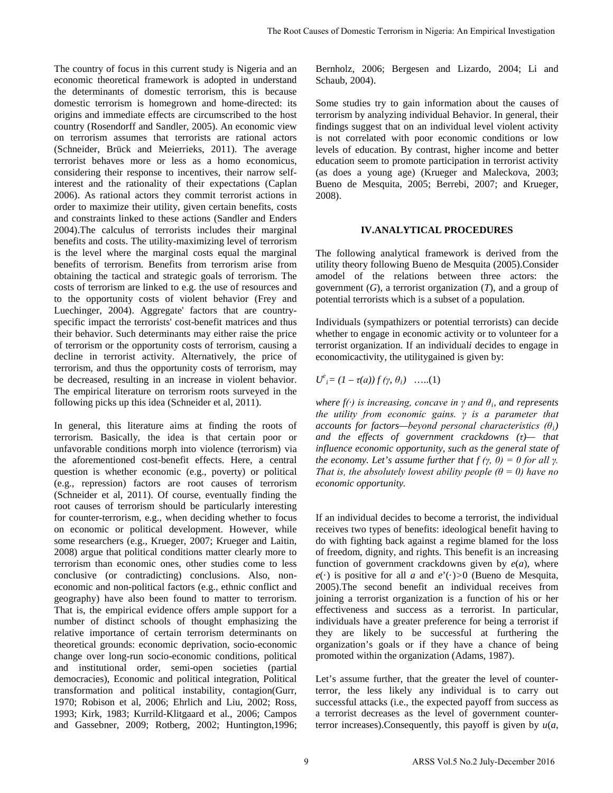The country of focus in this current study is Nigeria and an economic theoretical framework is adopted in understand the determinants of domestic terrorism, this is because domestic terrorism is homegrown and home-directed: its origins and immediate effects are circumscribed to the host country (Rosendorff and Sandler, 2005). An economic view on terrorism assumes that terrorists are rational actors (Schneider, Brück and Meierrieks, 2011). The average terrorist behaves more or less as a homo economicus, considering their response to incentives, their narrow selfinterest and the rationality of their expectations (Caplan 2006). As rational actors they commit terrorist actions in order to maximize their utility, given certain benefits, costs and constraints linked to these actions (Sandler and Enders 2004).The calculus of terrorists includes their marginal benefits and costs. The utility-maximizing level of terrorism is the level where the marginal costs equal the marginal benefits of terrorism. Benefits from terrorism arise from obtaining the tactical and strategic goals of terrorism. The costs of terrorism are linked to e.g. the use of resources and to the opportunity costs of violent behavior (Frey and Luechinger, 2004). Aggregate' factors that are countryspecific impact the terrorists' cost-benefit matrices and thus their behavior. Such determinants may either raise the price of terrorism or the opportunity costs of terrorism, causing a decline in terrorist activity. Alternatively, the price of terrorism, and thus the opportunity costs of terrorism, may be decreased, resulting in an increase in violent behavior. The empirical literature on terrorism roots surveyed in the following picks up this idea (Schneider et al, 2011).

In general, this literature aims at finding the roots of terrorism. Basically, the idea is that certain poor or unfavorable conditions morph into violence (terrorism) via the aforementioned cost-benefit effects. Here, a central question is whether economic (e.g., poverty) or political (e.g., repression) factors are root causes of terrorism (Schneider et al, 2011). Of course, eventually finding the root causes of terrorism should be particularly interesting for counter-terrorism, e.g., when deciding whether to focus on economic or political development. However, while some researchers (e.g., Krueger, 2007; Krueger and Laitin, 2008) argue that political conditions matter clearly more to terrorism than economic ones, other studies come to less conclusive (or contradicting) conclusions. Also, noneconomic and non-political factors (e.g., ethnic conflict and geography) have also been found to matter to terrorism. That is, the empirical evidence offers ample support for a number of distinct schools of thought emphasizing the relative importance of certain terrorism determinants on theoretical grounds: economic deprivation, socio-economic change over long-run socio-economic conditions, political and institutional order, semi-open societies (partial democracies), Economic and political integration, Political transformation and political instability, contagion(Gurr, 1970; Robison et al, 2006; Ehrlich and Liu, 2002; Ross, 1993; Kirk, 1983; Kurrild-Klitgaard et al., 2006; Campos and Gassebner, 2009; Rotberg, 2002; Huntington,1996;

Bernholz, 2006; Bergesen and Lizardo, 2004; Li and Schaub, 2004).

Some studies try to gain information about the causes of terrorism by analyzing individual Behavior. In general, their findings suggest that on an individual level violent activity is not correlated with poor economic conditions or low levels of education. By contrast, higher income and better education seem to promote participation in terrorist activity (as does a young age) (Krueger and Maleckova, 2003; Bueno de Mesquita, 2005; Berrebi, 2007; and Krueger, 2008).

## **IV.ANALYTICAL PROCEDURES**

The following analytical framework is derived from the utility theory following Bueno de Mesquita (2005).Consider amodel of the relations between three actors: the government (*G*), a terrorist organization (*T*), and a group of potential terrorists which is a subset of a population.

Individuals (sympathizers or potential terrorists) can decide whether to engage in economic activity or to volunteer for a terrorist organization. If an individual*i* decides to engage in economicactivity, the utilitygained is given by:

$$
U^e_i = (1 - \tau(a)) f(\gamma, \theta_i) \quad \dots (1)
$$

*where f(·) is increasing, concave in γ and θi, and represents the utility from economic gains. γ is a parameter that accounts for factors—beyond personal characteristics*  $(\theta_i)$ *and the effects of government crackdowns (τ)— that influence economic opportunity, such as the general state of the economy. Let's assume further that f*  $(\gamma, 0) = 0$  *for all y. That is, the absolutely lowest ability people*  $(\theta = 0)$  *have no economic opportunity.*

If an individual decides to become a terrorist, the individual receives two types of benefits: ideological benefit having to do with fighting back against a regime blamed for the loss of freedom, dignity, and rights. This benefit is an increasing function of government crackdowns given by  $e(a)$ , where  $e(\cdot)$  is positive for all *a* and  $e'(\cdot) > 0$  (Bueno de Mesquita, 2005).The second benefit an individual receives from joining a terrorist organization is a function of his or her effectiveness and success as a terrorist. In particular, individuals have a greater preference for being a terrorist if they are likely to be successful at furthering the organization's goals or if they have a chance of being promoted within the organization (Adams, 1987). The Root Causas of Domestic Terrorism in Nigeria: An Empirical Investigation<br>
and an<br>
Bernholz, 2006; Bergessen and Lizardo, 2004; Li<br>
arestand<br>
context<br>
context<br>
context times any total information about the causes<br>
tech

Let's assume further, that the greater the level of counterterror, the less likely any individual is to carry out successful attacks (i.e., the expected payoff from success as a terrorist decreases as the level of government counterterror increases).Consequently, this payoff is given by *u*(*a*,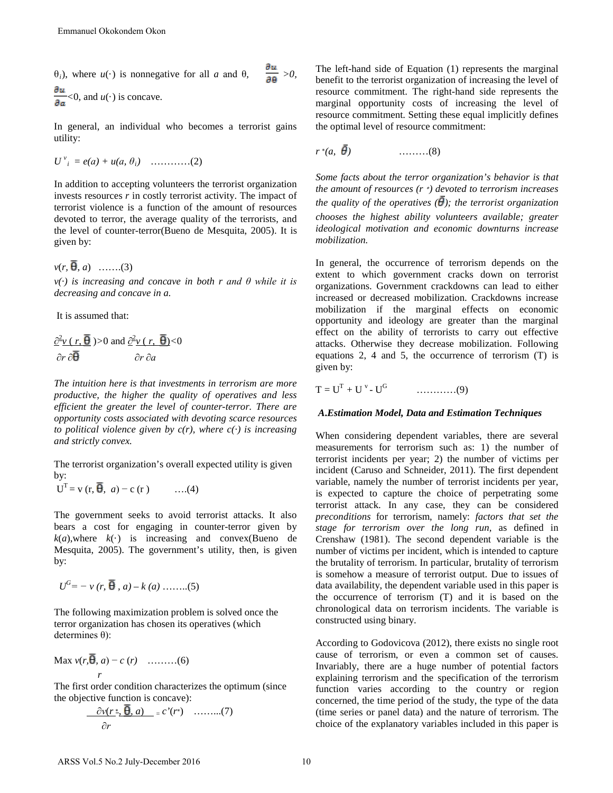θ*i*), where *u*(·) is nonnegative for all *a* and θ*, >0,*   $\frac{\partial u}{\partial a}$  < 0, and  $u(\cdot)$  is concave.

In general, an individual who becomes a terrorist gains utility:

$$
U^{v}_{i} = e(a) + u(a, \theta_{i}) \quad \ldots \ldots \ldots (2)
$$

In addition to accepting volunteers the terrorist organization invests resources *r* in costly terrorist activity. The impact of terrorist violence is a function of the amount of resources devoted to terror, the average quality of the terrorists, and the level of counter-terror(Bueno de Mesquita, 2005). It is given by: Emmanuel Okokondem Okon<br>
(i), where  $u(\cdot)$  is nonnegative for all a and  $\theta$ ,  $\frac{\partial u}{\partial \theta} > \theta$ ,<br>
(i), where  $u(\cdot)$  is concave.<br>  $\frac{\partial u}{\partial \theta} > \theta$ , and  $u(\cdot)$  is concave.<br>  $\frac{\partial u}{\partial \theta} = 0$ , and  $u(\cdot)$  is concave.<br>  $\frac{\partial u}{\partial$ 

 $v(r, \overline{\theta}, a)$  …….(3)

*v(·) is increasing and concave in both r and θ while it is decreasing and concave in a.* 

It is assumed that:

$$
\frac{\partial^2 v(r, \overline{\theta})}{\partial r \partial \overline{\theta}} > 0 \text{ and } \frac{\partial^2 v(r, \overline{\theta})}{\partial r \partial a} < 0
$$

*The intuition here is that investments in terrorism are more productive, the higher the quality of operatives and less efficient the greater the level of counter-terror. There are opportunity costs associated with devoting scarce resources to political violence given by*  $c(r)$ *, where*  $c(\cdot)$  *is increasing and strictly convex.* 

The terrorist organization's overall expected utility is given by:

$$
UT = v (r, \overline{\theta}, a) - c (r) \qquad \dots(4)
$$

The government seeks to avoid terrorist attacks. It also bears a cost for engaging in counter-terror given by  $k(a)$ , where  $k(\cdot)$  is increasing and convex(Bueno de Mesquita, 2005). The government's utility, then, is given by:

$$
U^{G}
$$
 = -  $\nu$  (*r*,  $\overline{B}$ , *a*) -  $k$  (*a*) .........(5)

The following maximization problem is solved once the terror organization has chosen its operatives (which determines θ):

$$
\frac{\text{Max } v(r, \overline{\theta}, a) - c(r) \quad \dots \dots \dots (6)}{r}
$$

The first order condition characterizes the optimum (since the objective function is concave):

$$
\frac{\partial v(r^*)}{\partial r} \mathbf{\theta}, a) = c'(r^*) \quad \dots \dots \dots (7)
$$

The left-hand side of Equation (1) represents the marginal benefit to the terrorist organization of increasing the level of resource commitment. The right-hand side represents the marginal opportunity costs of increasing the level of resource commitment. Setting these equal implicitly defines the optimal level of resource commitment:

$$
r^*(a, \overline{\theta}) \qquad \qquad \ldots \ldots \ldots \ldots (8)
$$

*Some facts about the terror organization's behavior is that the amount of resources (r* <sup>∗</sup> *) devoted to terrorism increases the quality of the operatives*  $(\bar{\theta})$ *; the terrorist organization chooses the highest ability volunteers available; greater ideological motivation and economic downturns increase mobilization.*

In general, the occurrence of terrorism depends on the extent to which government cracks down on terrorist organizations. Government crackdowns can lead to either increased or decreased mobilization. Crackdowns increase mobilization if the marginal effects on economic opportunity and ideology are greater than the marginal effect on the ability of terrorists to carry out effective attacks. Otherwise they decrease mobilization. Following equations 2, 4 and 5, the occurrence of terrorism (T) is given by:

$$
T = U^{T} + U^{v} - U^{G} \qquad \qquad \dots \dots \dots \dots (9)
$$

# *A***.***Estimation Model, Data and Estimation Techniques*

When considering dependent variables, there are several measurements for terrorism such as: 1) the number of terrorist incidents per year; 2) the number of victims per incident (Caruso and Schneider, 2011). The first dependent variable, namely the number of terrorist incidents per year, is expected to capture the choice of perpetrating some terrorist attack. In any case, they can be considered *preconditions* for terrorism, namely: *factors that set the stage for terrorism over the long run,* as defined in Crenshaw (1981). The second dependent variable is the number of victims per incident, which is intended to capture the brutality of terrorism. In particular, brutality of terrorism is somehow a measure of terrorist output. Due to issues of data availability, the dependent variable used in this paper is the occurrence of terrorism (T) and it is based on the chronological data on terrorism incidents. The variable is constructed using binary.

According to Godovicova (2012), there exists no single root cause of terrorism, or even a common set of causes. Invariably, there are a huge number of potential factors explaining terrorism and the specification of the terrorism function varies according to the country or region concerned, the time period of the study, the type of the data (time series or panel data) and the nature of terrorism. The choice of the explanatory variables included in this paper is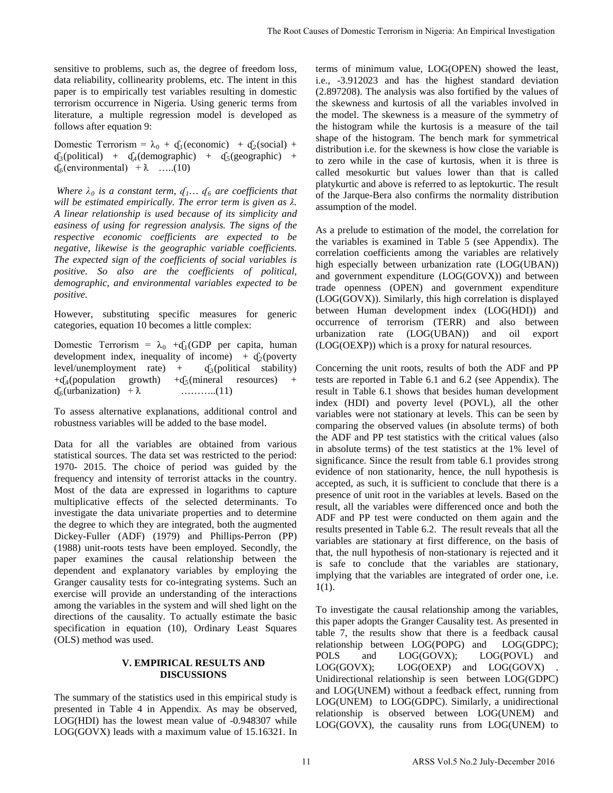sensitive to problems, such as, the degree of freedom loss, data reliability, collinearity problems, etc. The intent in this paper is to empirically test variables resulting in domestic terrorism occurrence in Nigeria. Using generic terms from literature, a multiple regression model is developed as follows after equation 9:

Domestic Terrorism =  $\lambda_0 + f_1$ (economic) +  $f_2$ (social) +  $\mathfrak{q}_3$ (political) +  $\mathfrak{q}_4$ (demographic) +  $\mathfrak{q}_5$ (geographic) +  $\mathfrak{g}_{6}(\text{environmental}) + \lambda$  ....(10)

*Where*  $\lambda_0$  *is a constant term,*  $q_1$ *...*  $q_6$  *are coefficients that will be estimated empirically. The error term is given as*  $\lambda$ *. A linear relationship is used because of its simplicity and easiness of using for regression analysis. The signs of the respective economic coefficients are expected to be negative, likewise is the geographic variable coefficients. The expected sign of the coefficients of social variables is positive. So also are the coefficients of political, demographic, and environmental variables expected to be positive.*

However, substituting specific measures for generic categories, equation 10 becomes a little complex:

Domestic Terrorism =  $\lambda_0$  + $\mathbf{q}_1$ (GDP per capita, human development index, inequality of income) +  $\frac{d_2(poverty)}{d_3(political - stability)}$ level/unemployment rate) +<br>+ $f_4$ (population growth) + $f_5$ growth)  $+{\mathsf d}_5$ (mineral resources) +  $\mathfrak{g}_6$ (urbanization) +  $\lambda$  ………..(11)

To assess alternative explanations, additional control and robustness variables will be added to the base model.

Data for all the variables are obtained from various statistical sources. The data set was restricted to the period: 1970- 2015. The choice of period was guided by the frequency and intensity of terrorist attacks in the country. Most of the data are expressed in logarithms to capture multiplicative effects of the selected determinants. To investigate the data univariate properties and to determine the degree to which they are integrated, both the augmented Dickey-Fuller (ADF) (1979) and Phillips-Perron (PP) (1988) unit-roots tests have been employed. Secondly, the paper examines the causal relationship between the dependent and explanatory variables by employing the Granger causality tests for co-integrating systems. Such an exercise will provide an understanding of the interactions among the variables in the system and will shed light on the directions of the causality. To actually estimate the basic specification in equation (10), Ordinary Least Squares (OLS) method was used.

# **V. EMPIRICAL RESULTS AND DISCUSSIONS**

The summary of the statistics used in this empirical study is presented in Table 4 in Appendix. As may be observed, LOG(HDI) has the lowest mean value of -0.948307 while LOG(GOVX) leads with a maximum value of 15.16321. In terms of minimum value, LOG(OPEN) showed the least, i.e., -3.912023 and has the highest standard deviation (2.897208). The analysis was also fortified by the values of the skewness and kurtosis of all the variables involved in the model. The skewness is a measure of the symmetry of the histogram while the kurtosis is a measure of the tail shape of the histogram. The bench mark for symmetrical distribution i.e. for the skewness is how close the variable is to zero while in the case of kurtosis, when it is three is called mesokurtic but values lower than that is called platykurtic and above is referred to as leptokurtic. The result of the Jarque-Bera also confirms the normality distribution assumption of the model.

As a prelude to estimation of the model, the correlation for the variables is examined in Table 5 (see Appendix). The correlation coefficients among the variables are relatively high especially between urbanization rate (LOG(UBAN)) and government expenditure (LOG(GOVX)) and between trade openness (OPEN) and government expenditure (LOG(GOVX)). Similarly, this high correlation is displayed between Human development index (LOG(HDI)) and occurrence of terrorism (TERR) and also between urbanization rate (LOG(UBAN)) and oil export (LOG(OEXP)) which is a proxy for natural resources.

Concerning the unit roots, results of both the ADF and PP tests are reported in Table 6.1 and 6.2 (see Appendix). The result in Table 6.1 shows that besides human development index (HDI) and poverty level (POVL), all the other variables were not stationary at levels. This can be seen by comparing the observed values (in absolute terms) of both the ADF and PP test statistics with the critical values (also in absolute terms) of the test statistics at the 1% level of significance. Since the result from table 6.1 provides strong evidence of non stationarity, hence, the null hypothesis is accepted, as such, it is sufficient to conclude that there is a presence of unit root in the variables at levels. Based on the result, all the variables were differenced once and both the ADF and PP test were conducted on them again and the results presented in Table 6.2. The result reveals that all the variables are stationary at first difference, on the basis of that, the null hypothesis of non-stationary is rejected and it is safe to conclude that the variables are stationary, implying that the variables are integrated of order one, i.e. 1(1). The Root Causa of Domestic Terrorism in Nigeria: An Empirical Investigation<br>
in loss, terms of minimum value, LOG(OPEN) showed the least<br>
in this i.e., -39/12023 and lass the highest standard deviation<br>
in this i.e., -39/

To investigate the causal relationship among the variables, this paper adopts the Granger Causality test. As presented in table 7, the results show that there is a feedback causal relationship between LOG(POPG) and LOG(GDPC); POLS and LOG(GOVX); LOG(POVL) and LOG(GOVX); LOG(OEXP) and LOG(GOVX) Unidirectional relationship is seen between LOG(GDPC) and LOG(UNEM) without a feedback effect, running from LOG(UNEM) to LOG(GDPC). Similarly, a unidirectional relationship is observed between LOG(UNEM) and LOG(GOVX), the causality runs from LOG(UNEM) to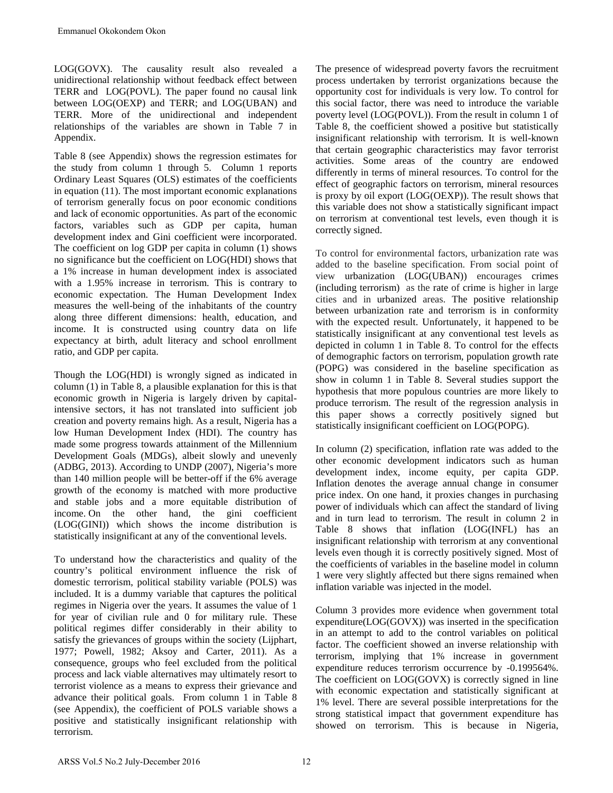LOG(GOVX). The causality result also revealed a unidirectional relationship without feedback effect between TERR and LOG(POVL). The paper found no causal link between LOG(OEXP) and TERR; and LOG(UBAN) and TERR. More of the unidirectional and independent relationships of the variables are shown in Table 7 in Appendix.

Table 8 (see Appendix) shows the regression estimates for the study from column 1 through 5. Column 1 reports Ordinary Least Squares (OLS) estimates of the coefficients in equation (11). The most important economic explanations of terrorism generally focus on poor economic conditions and lack of economic opportunities. As part of the economic factors, variables such as GDP per capita, human development index and Gini coefficient were incorporated. The coefficient on log GDP per capita in column (1) shows no significance but the coefficient on LOG(HDI) shows that a 1% increase in human development index is associated with a 1.95% increase in terrorism. This is contrary to economic expectation. The Human Development Index measures the well-being of the inhabitants of the country along three different dimensions: health, education, and income. It is constructed using country data on life expectancy at birth, adult literacy and school enrollment ratio, and GDP per capita. Emmanuel Okokondem Okon<br>
CG(GOVX). The causality result also revealed a notificational relationship without feedback effect between<br>
FERR and 1.OG(GPOV1). The paper found no causal link<br>
highlicational relationship without

Though the LOG(HDI) is wrongly signed as indicated in column (1) in Table 8, a plausible explanation for this is that economic growth in Nigeria is largely driven by capitalintensive sectors, it has not translated into sufficient job creation and poverty remains high. As a result, Nigeria has a low Human Development Index (HDI). The country has made some progress towards attainment of the Millennium Development Goals (MDGs), albeit slowly and unevenly (ADBG, 2013). According to UNDP (2007), Nigeria's more than 140 million people will be better-off if the 6% average growth of the economy is matched with more productive and stable jobs and a more equitable distribution of income. On the other hand, the gini coefficient (LOG(GINI)) which shows the income distribution is statistically insignificant at any of the conventional levels.

To understand how the characteristics and quality of the country's political environment influence the risk of domestic terrorism, political stability variable (POLS) was included. It is a dummy variable that captures the political regimes in Nigeria over the years. It assumes the value of 1 for year of civilian rule and 0 for military rule. These political regimes differ considerably in their ability to satisfy the grievances of groups within the society (Lijphart, 1977; Powell, 1982; Aksoy and Carter, 2011). As a consequence, groups who feel excluded from the political process and lack viable alternatives may ultimately resort to terrorist violence as a means to express their grievance and advance their political goals. From column 1 in Table 8 (see Appendix), the coefficient of POLS variable shows a positive and statistically insignificant relationship with terrorism.

The presence of widespread poverty favors the recruitment process undertaken by terrorist organizations because the opportunity cost for individuals is very low. To control for this social factor, there was need to introduce the variable poverty level (LOG(POVL)). From the result in column 1 of Table 8, the coefficient showed a positive but statistically insignificant relationship with terrorism. It is well-known that certain geographic characteristics may favor terrorist activities. Some areas of the country are endowed differently in terms of mineral resources. To control for the effect of geographic factors on terrorism, mineral resources is proxy by oil export (LOG(OEXP)). The result shows that this variable does not show a statistically significant impact on terrorism at conventional test levels, even though it is correctly signed.

To control for environmental factors, urbanization rate was added to the baseline specification. From social point of view urbanization (LOG(UBAN)) encourages crimes (including terrorism) as the rate of crime is higher in large cities and in urbanized areas. The positive relationship between urbanization rate and terrorism is in conformity with the expected result. Unfortunately, it happened to be statistically insignificant at any conventional test levels as depicted in column 1 in Table 8. To control for the effects of demographic factors on terrorism, population growth rate (POPG) was considered in the baseline specification as show in column 1 in Table 8. Several studies support the hypothesis that more populous countries are more likely to produce terrorism. The result of the regression analysis in this paper shows a correctly positively signed but statistically insignificant coefficient on LOG(POPG).

In column (2) specification, inflation rate was added to the other economic development indicators such as human development index, income equity, per capita GDP. Inflation denotes the average annual change in consumer price index. On one hand, it proxies changes in purchasing power of individuals which can affect the standard of living and in turn lead to terrorism. The result in column 2 in Table 8 shows that inflation (LOG(INFL) has an insignificant relationship with terrorism at any conventional levels even though it is correctly positively signed. Most of the coefficients of variables in the baseline model in column 1 were very slightly affected but there signs remained when inflation variable was injected in the model.

Column 3 provides more evidence when government total expenditure(LOG(GOVX)) was inserted in the specification in an attempt to add to the control variables on political factor. The coefficient showed an inverse relationship with terrorism, implying that 1% increase in government expenditure reduces terrorism occurrence by -0.199564%. The coefficient on LOG(GOVX) is correctly signed in line with economic expectation and statistically significant at 1% level. There are several possible interpretations for the strong statistical impact that government expenditure has showed on terrorism. This is because in Nigeria,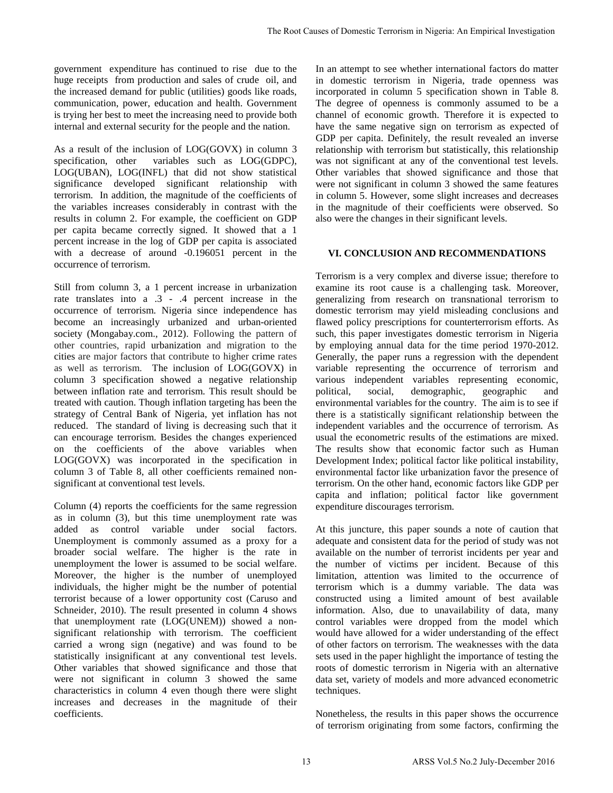government expenditure has continued to rise due to the huge receipts from production and sales of crude oil, and the increased demand for public (utilities) goods like roads, communication, power, education and health. Government is trying her best to meet the increasing need to provide both internal and external security for the people and the nation.

As a result of the inclusion of LOG(GOVX) in column 3 specification, other variables such as  $LOG(GDPC)$ , LOG(UBAN), LOG(INFL) that did not show statistical significance developed significant relationship with terrorism. In addition, the magnitude of the coefficients of the variables increases considerably in contrast with the results in column 2. For example, the coefficient on GDP per capita became correctly signed. It showed that a 1 percent increase in the log of GDP per capita is associated with a decrease of around -0.196051 percent in the occurrence of terrorism.

Still from column 3, a 1 percent increase in urbanization rate translates into a .3 - .4 percent increase in the occurrence of terrorism. Nigeria since independence has become an increasingly urbanized and urban-oriented society (Mongabay.com., 2012). Following the pattern of other countries, rapid urbanization and migration to the cities are major factors that contribute to higher crime rates as well as terrorism. The inclusion of LOG(GOVX) in column 3 specification showed a negative relationship between inflation rate and terrorism. This result should be treated with caution. Though inflation targeting has been the strategy of Central Bank of Nigeria, yet inflation has not reduced. The standard of living is decreasing such that it can encourage terrorism. Besides the changes experienced on the coefficients of the above variables when LOG(GOVX) was incorporated in the specification in column 3 of Table 8, all other coefficients remained nonsignificant at conventional test levels.

Column (4) reports the coefficients for the same regression as in column (3), but this time unemployment rate was added as control variable under social factors. Unemployment is commonly assumed as a proxy for a broader social welfare. The higher is the rate in unemployment the lower is assumed to be social welfare. Moreover, the higher is the number of unemployed individuals, the higher might be the number of potential terrorist because of a lower opportunity cost (Caruso and Schneider, 2010). The result presented in column 4 shows that unemployment rate (LOG(UNEM)) showed a nonsignificant relationship with terrorism. The coefficient carried a wrong sign (negative) and was found to be statistically insignificant at any conventional test levels. Other variables that showed significance and those that were not significant in column 3 showed the same characteristics in column 4 even though there were slight increases and decreases in the magnitude of their coefficients.

In an attempt to see whether international factors do matter in domestic terrorism in Nigeria, trade openness was incorporated in column 5 specification shown in Table 8. The degree of openness is commonly assumed to be a channel of economic growth. Therefore it is expected to have the same negative sign on terrorism as expected of GDP per capita. Definitely, the result revealed an inverse relationship with terrorism but statistically, this relationship was not significant at any of the conventional test levels. Other variables that showed significance and those that were not significant in column 3 showed the same features in column 5. However, some slight increases and decreases in the magnitude of their coefficients were observed. So also were the changes in their significant levels.

# **VI. CONCLUSION AND RECOMMENDATIONS**

Terrorism is a very complex and diverse issue; therefore to examine its root cause is a challenging task. Moreover, generalizing from research on transnational terrorism to domestic terrorism may yield misleading conclusions and flawed policy prescriptions for counterterrorism efforts. As such, this paper investigates domestic terrorism in Nigeria by employing annual data for the time period 1970-2012. Generally, the paper runs a regression with the dependent variable representing the occurrence of terrorism and various independent variables representing economic, political, social, demographic, geographic and environmental variables for the country. The aim is to see if there is a statistically significant relationship between the independent variables and the occurrence of terrorism. As usual the econometric results of the estimations are mixed. The results show that economic factor such as Human Development Index; political factor like political instability, environmental factor like urbanization favor the presence of terrorism. On the other hand, economic factors like GDP per capita and inflation; political factor like government expenditure discourages terrorism. The Root Causar of Domestic Terrorism in Nigeria: An Empirical Investigation<br>
10 to the In an attempt to see whether international factors do matter<br>
2016, and in obmostic terrorism in Nigeria: Ande upermass was<br>
the root

At this juncture, this paper sounds a note of caution that adequate and consistent data for the period of study was not available on the number of terrorist incidents per year and the number of victims per incident. Because of this limitation, attention was limited to the occurrence of terrorism which is a dummy variable. The data was constructed using a limited amount of best available information. Also, due to unavailability of data, many control variables were dropped from the model which would have allowed for a wider understanding of the effect of other factors on terrorism. The weaknesses with the data sets used in the paper highlight the importance of testing the roots of domestic terrorism in Nigeria with an alternative data set, variety of models and more advanced econometric techniques.

Nonetheless, the results in this paper shows the occurrence of terrorism originating from some factors, confirming the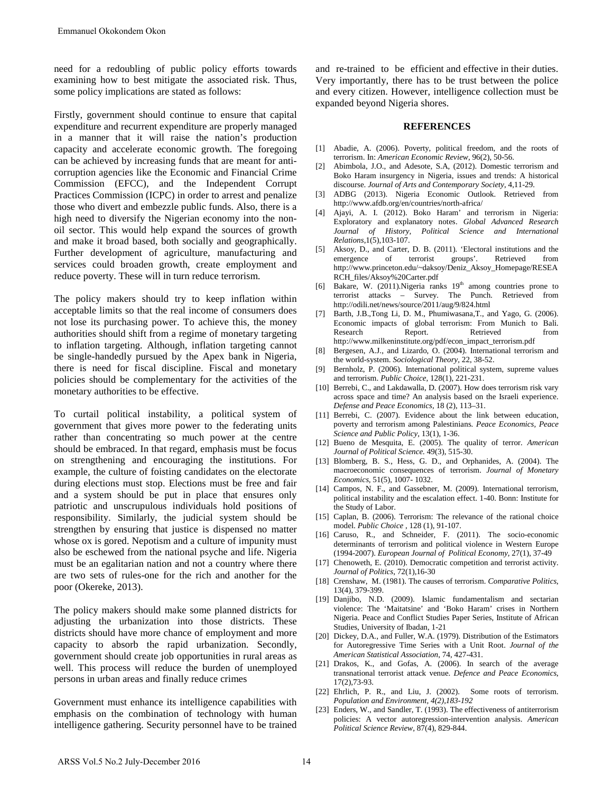need for a redoubling of public policy efforts towards examining how to best mitigate the associated risk. Thus, some policy implications are stated as follows:

Firstly, government should continue to ensure that capital expenditure and recurrent expenditure are properly managed in a manner that it will raise the nation's production capacity and accelerate economic growth. The foregoing can be achieved by increasing funds that are meant for anticorruption agencies like the Economic and Financial Crime Commission (EFCC), and the Independent Corrupt Practices Commission (ICPC) in order to arrest and penalize those who divert and embezzle public funds. Also, there is a high need to diversify the Nigerian economy into the nonoil sector. This would help expand the sources of growth and make it broad based, both socially and geographically. Further development of agriculture, manufacturing and services could broaden growth, create employment and reduce poverty. These will in turn reduce terrorism.

The policy makers should try to keep inflation within acceptable limits so that the real income of consumers does not lose its purchasing power. To achieve this, the money authorities should shift from a regime of monetary targeting to inflation targeting. Although, inflation targeting cannot be single-handedly pursued by the Apex bank in Nigeria, there is need for fiscal discipline. Fiscal and monetary policies should be complementary for the activities of the monetary authorities to be effective.

To curtail political instability, a political system of government that gives more power to the federating units rather than concentrating so much power at the centre should be embraced. In that regard, emphasis must be focus on strengthening and encouraging the institutions. For example, the culture of foisting candidates on the electorate during elections must stop. Elections must be free and fair and a system should be put in place that ensures only patriotic and unscrupulous individuals hold positions of responsibility. Similarly, the judicial system should be strengthen by ensuring that justice is dispensed no matter whose ox is gored. Nepotism and a culture of impunity must also be eschewed from the national psyche and life. Nigeria must be an egalitarian nation and not a country where there are two sets of rules-one for the rich and another for the poor (Okereke, 2013). Emmanuel Okokondem Okon<br>
cecd for a redoubling of public policy efforts towards<br>
xamining how to best mitigate the associated risk. Thus,<br>
come policy implications are stated as follows:<br>
memoripoly implications are stated

The policy makers should make some planned districts for adjusting the urbanization into those districts. These districts should have more chance of employment and more capacity to absorb the rapid urbanization. Secondly, government should create job opportunities in rural areas as well. This process will reduce the burden of unemployed persons in urban areas and finally reduce crimes

Government must enhance its intelligence capabilities with emphasis on the combination of technology with human intelligence gathering. Security personnel have to be trained

and re-trained to be efficient and effective in their duties. Very importantly, there has to be trust between the police and every citizen. However, intelligence collection must be expanded beyond Nigeria shores.

#### **REFERENCES**

- [1] Abadie, A. (2006). Poverty, political freedom, and the roots of terrorism. In: *American Economic Review*, 96(2), 50-56.
- [2] Abimbola, J.O., and Adesote, S.A, (2012). Domestic terrorism and Boko Haram insurgency in Nigeria, issues and trends: A historical discourse. *Journal of Arts and Contemporary Society*, 4,11-29.
- [3] ADBG (2013). Nigeria Economic Outlook. Retrieved from http://www.afdb.org/en/countries/north-africa/
- [4] Ajayi, A. I. (2012). Boko Haram' and terrorism in Nigeria: Exploratory and explanatory notes. *Global Advanced Research Journal of History, Political Science and International Relations*,1(5),103-107.
- [5] Aksoy, D., and Carter, D. B. (2011). 'Electoral institutions and the emergence of terrorist groups'. Retrieved from http://www.princeton.edu/~daksoy/Deniz\_Aksoy\_Homepage/RESEA RCH\_files/Aksoy%20Carter.pdf
- [6] Bakare, W. (2011). Nigeria ranks 19<sup>th</sup> among countries prone to terrorist attacks – Survey. The Punch. Retrieved from http://odili.net/news/source/2011/aug/9/824.html
- [7] Barth, J.B.,Tong Li, D. M., Phumiwasana,T., and Yago, G. (2006). Economic impacts of global terrorism: From Munich to Bali. Research Report. Retrieved from http://www.milkeninstitute.org/pdf/econ\_impact\_terrorism.pdf
- Bergesen, A.J., and Lizardo, O. (2004). International terrorism and the world-system. *Sociological Theory,* 22, 38-52.
- [9] Bernholz, P. (2006). International political system, supreme values and terrorism. *Public Choice*, 128(1), 221-231.
- [10] Berrebi, C., and Lakdawalla, D. (2007). How does terrorism risk vary across space and time? An analysis based on the Israeli experience. *Defense and Peace Economics,* 18 (2), 113–31.
- [11] Berrebi, C. (2007). Evidence about the link between education, poverty and terrorism among Palestinians. *Peace Economics, Peace Science and Public Policy,* 13(1), 1-36.
- [12] Bueno de Mesquita, E. (2005). The quality of terror. *American Journal of Political Science.* 49(3), 515-30.
- [13] Blomberg, B. S., Hess, G. D., and Orphanides, A. (2004). The macroeconomic consequences of terrorism. *Journal of Monetary Economics,* 51(5), 1007- 1032.
- [14] Campos, N. F., and Gassebner, M. (2009). International terrorism, political instability and the escalation effect. 1-40. Bonn: Institute for the Study of Labor.
- [15] Caplan, B. (2006). Terrorism: The relevance of the rational choice model. *[Public Choice](http://libra.msra.cn/Journal/11292/public-choice)* , 128 (1), 91-107.
- [16] Caruso, R., and Schneider, F. (2011). The socio-economic determinants of terrorism and political violence in Western Europe (1994-2007). *European Journal of Political Economy,* 27(1), 37-49
- [17] Chenoweth, E. (2010). Democratic competition and terrorist activity. *Journal of Politics*, 72(1),16-30
- [18] Crenshaw, M. (1981). The causes of terrorism. *Comparative Politics*, 13(4), 379-399.
- [19] Danjibo, N.D. (2009). Islamic fundamentalism and sectarian violence: The 'Maitatsine' and 'Boko Haram' crises in Northern Nigeria. Peace and Conflict Studies Paper Series, Institute of African Studies, University of Ibadan, 1-21
- [20] Dickey, D.A., and Fuller, W.A. (1979). Distribution of the Estimators for Autoregressive Time Series with a Unit Root. *Journal of the American Statistical Association*, 74, 427-431.
- [21] Drakos, K., and Gofas, A. (2006). In search of the average transnational terrorist attack venue. *Defence and Peace Economics*, 17(2),73-93.
- [22] Ehrlich, P. R., and Liu, J. (2002). Some roots of terrorism. *Population and Environment, 4(2),183-192*
- [23] Enders, W., and Sandler, T. (1993). The effectiveness of antiterrorism policies: A vector autoregression-intervention analysis. *American Political Science Review,* 87(4), 829-844.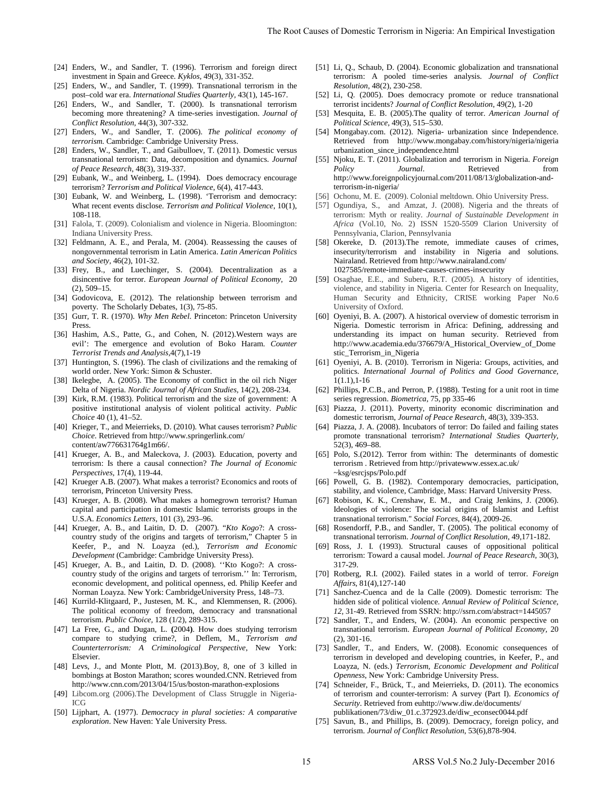- [24] Enders, W., and Sandler, T. (1996). Terrorism and foreign direct investment in Spain and Greece. *Kyklos,* 49(3), 331-352.
- [25] Enders, W., and Sandler, T. (1999). Transnational terrorism in the post–cold war era. *International Studies Quarterly,* 43(1), 145-167.
- [26] Enders, W., and Sandler, T. (2000). Is transnational terrorism becoming more threatening? A time-series investigation. *Journal of Conflict Resolution,* 44(3), 307-332.
- [27] Enders, W., and Sandler, T. (2006). *The political economy of terrorism.* Cambridge: Cambridge University Press.
- [28] Enders, W., Sandler, T., and Gaibulloev, T. (2011). Domestic versus transnational terrorism: Data, decomposition and dynamics. *Journal of Peace Research*, 48(3), 319-337.
- [29] Eubank, W., and Weinberg, L. (1994). Does democracy encourage terrorism? *Terrorism and Political Violence*, 6(4), 417-443.
- [30] Eubank, W. and Weinberg, L. (1998). 'Terrorism and democracy: What recent events disclose. *Terrorism and Political Violence*, 10(1), 108-118.
- [31] Falola, T. (2009). Colonialism and violence in Nigeria. Bloomington: Indiana University Press.
- [32] Feldmann, A. E., and Perala, M. (2004). Reassessing the causes of nongovernmental terrorism in Latin America. *Latin American Politics and Society,* 46(2), 101-32.
- [33] Frey, B., and Luechinger, S. (2004). Decentralization as a disincentive for terror. *European Journal of Political Economy*, 20 (2), 509–15.
- [34] Godovicova, E. (2012). The relationship between terrorism and poverty. The Scholarly Debates, 1(3), 75-85.
- [35] Gurr, T. R. (1970). *Why Men Rebel*. Princeton: Princeton University Press.
- [36] Hashim, A.S., Patte, G., and Cohen, N. (2012). Western ways are evil': The emergence and evolution of Boko Haram. *Counter Terrorist Trends and Analysis,*4(7),1-19
- [37] Huntington, S. (1996). The clash of civilizations and the remaking of world order. New York: Simon & Schuster.
- [38] Ikelegbe, A. (2005). The Economy of conflict in the oil rich Niger Delta of Nigeria. *Nordic Journal of African Studies,* 14(2), 208-234.
- [39] Kirk, R.M. (1983). Political terrorism and the size of government: A positive institutional analysis of violent political activity. *Public Choice* 40 (1), 41–52.
- [40] Krieger, T., and Meierrieks, D. (2010). What causes terrorism? *Public Choice.* Retrieved from <http://www.springerlink.com/> content/aw776631764g1m66/.
- [41] Krueger, A. B., and Maleckova, J. (2003). Education, poverty and terrorism: Is there a causal connection? *The Journal of Economic Perspectives,* 17(4), 119-44.
- [42] Krueger A.B. (2007). What makes a terrorist? Economics and roots of terrorism, Princeton University Press.
- [43] Krueger, A. B. (2008). What makes a homegrown terrorist? Human capital and participation in domestic Islamic terrorists groups in the U.S.A. *Economics Letters,* 101 (3), 293–96.
- [44] Krueger, A. B., and Laitin, D. D. (2007). "*Kto Kogo*?: A crosscountry study of the origins and targets of terrorism," Chapter 5 in Keefer, P., and N. Loayza (ed.), *Terrorism and Economic Development* (Cambridge: Cambridge University Press).
- [45] Krueger, A. B., and Laitin, D. D. (2008). "Kto Kogo?: A crosscountry study of the origins and targets of terrorism.'' In: Terrorism, economic development, and political openness, ed. Philip Keefer and Norman Loayza. New York: CambridgeUniversity Press, 148–73.
- [46] Kurrild-Klitgaard, P., Justesen, M. K., and Klemmensen, R. (2006). The political economy of freedom, democracy and transnational terrorism. *Public Choice,* 128 (1/2), 289-315.
- [47] La Free, G., and Dugan, L. **(**2004**)**. How does studying terrorism compare to studying crime?, in Deflem, M., *Terrorism and Counterterrorism: A Criminological Perspective*, New York: Elsevier.
- [48] Levs, J., and Monte Plott, M. (2013).Boy, 8, one of 3 killed in bombings at Boston Marathon; scores wounded.CNN. Retrieved from http://www.cnn.com/2013/04/15/us/boston-marathon-explosions
- [49] Libcom.org (2006).The Development of Class Struggle in Nigeria-ICG
- [50] Lijphart, A. (1977). *Democracy in plural societies: A comparative exploration*. New Haven: Yale University Press.
- [51] Li, Q., Schaub, D. (2004). Economic globalization and transnational terrorism: A pooled time-series analysis. *Journal of Conflict Resolution,* 48(2), 230-258.
- [52] Li, Q. (2005). Does democracy promote or reduce transnational terrorist incidents? *Journal of Conflict Resolution*, 49(2), 1-20
- [53] Mesquita, E. B. (2005).The quality of terror. *American Journal of Political Science*, 49(3), 515–530.
- [54] Mongabay.com. (2012). Nigeria- urbanization since Independence. Retrieved from http://www.mongabay.com/history/nigeria/nigeria urbanization\_since\_independence.html
- [55] Njoku, E. T. (2011)[. Globalization and terrorism in Nigeria.](http://www.foreignpolicyjournal.com/2011/08/13/globalization-and-terrorism-in-nigeria/) *[Foreign](http://www.foreignpolicyjournal.com/)  [Policy Journal](http://www.foreignpolicyjournal.com/).* Retrieved from http://www.foreignpolicyjournal.com/2011/08/13/globalization-andterrorism-in-nigeria/
- [56] Ochonu, M. E. (2009). Colonial meltdown. Ohio University Press.
- [57] Ogundiya, S., and Amzat, J. (2008). Nigeria and the threats of terrorism: Myth or reality. *Journal of Sustainable Development in Africa* (Vol.10, No. 2) ISSN 1520-5509 Clarion University of Pennsylvania, Clarion, Pennsylvania
- [58] Okereke, D. (2013).The remote, immediate causes of crimes, insecurity/terrorism and instability in Nigeria and solutions. Nairaland. Retrieved from <http://www.nairaland.com/> 1027585/remote-immediate-causes-crimes-insecurity
- [59] Osaghae, E.E., and Suberu, R.T. (2005). A history of identities, violence, and stability in Nigeria. Center for Research on Inequality, Human Security and Ethnicity, CRISE working Paper No.6 University of Oxford.
- [60] Oyeniyi, B. A. (2007). A historical overview of domestic terrorism in Nigeria. Domestic terrorism in Africa: Defining, addressing and understanding its impact on human security. Retrieved from http://www.academia.edu/376679/A\_Historical\_Overview\_of\_Dome stic\_Terrorism\_in\_Nigeria The Root Causa of Domestic Terrorism in Nigeria: An Empirical Investigation<br>
an direct and The Root Cause (An Empirical Investigation<br>
and The Root Cause (An Empirical Investigation and International Conditions of Conditi
	- [61] Oyeniyi, A. B. (2010). Terrorism in Nigeria: Groups, activities, and politics. *International Journal of Politics and Good Governance,*  1(1.1),1-16
	- [62] Phillips, P.C.B., and Perron, P. (1988). Testing for a unit root in time series regression. *Biometrica*, 75, pp 335-46
	- [63] Piazza, J. (2011). Poverty, minority economic discrimination and domestic terrorism, *Journal of Peace Research*, 48(3), 339-353.
	- [64] Piazza, J. A. (2008). Incubators of terror: Do failed and failing states promote transnational terrorism? *International Studies Quarterly,*  52(3), 469–88.
	- [65] Polo, S.(2012). Terror from within: The determinants of domestic terrorism . Retrieved fro[m http://privatewww.essex.ac.uk/](http://privatewww.essex.ac.uk/) ~ksg/esrcjsps/Polo.pdf
	- [66] Powell, G. B. (1982). Contemporary democracies, participation, stability, and violence, Cambridge, Mass: Harvard University Press.
	- [67] Robison, K. K., Crenshaw, E. M., and Craig Jenkins, J. (2006). Ideologies of violence: The social origins of Islamist and Leftist transnational terrorism." *Social Forces,* 84(4), 2009-26.
	- [68] Rosendorff, P.B., and Sandler, T. (2005). The political economy of transnational terrorism. *Journal of Conflict Resolution*, 49,171-182.
	- [69] Ross, J. I. (1993). Structural causes of oppositional political terrorism: Toward a causal model. *Journal of Peace Research,* 30(3), 317-29.
	- [70] Rotberg, R.I. (2002). Failed states in a world of terror. *Foreign Affairs*, 81(4),127-140
	- [71] Sanchez-Cuenca and de la Calle (2009). Domestic terrorism: The hidden side of political violence. *[Annual Review of Political Science,](http://papers.ssrn.com/sol3/papers.cfm?abstract_id=1445057##)  12,* 31‐[49.](http://papers.ssrn.com/sol3/papers.cfm?abstract_id=1445057##) Retrieved from SSRN:<http://ssrn.com/abstract=1445057>
	- [72] Sandler, T., and Enders, W. (2004). An economic perspective on transnational terrorism. *European Journal of Political Economy,* 20 (2), 301-16.
	- [73] Sandler, T., and Enders, W. (2008). Economic consequences of terrorism in developed and developing countries, in Keefer, P., and Loayza, N. (eds.) *Terrorism, Economic Development and Political Openness*, New York: Cambridge University Press.
	- [74] Schneider, F., Brück, T., and Meierrieks, D. (2011). The economics of terrorism and counter-terrorism: A survey (Part I). *Economics of Security*. Retrieved from euhttp://www.diw.de/documents/ publikationen/73/diw\_01.c.372923.de/diw\_econsec0044.pdf
	- [75] Savun, B., and Phillips, B. (2009). Democracy, foreign policy, and terrorism. *Journal of Conflict Resolution*, 53(6),878-904.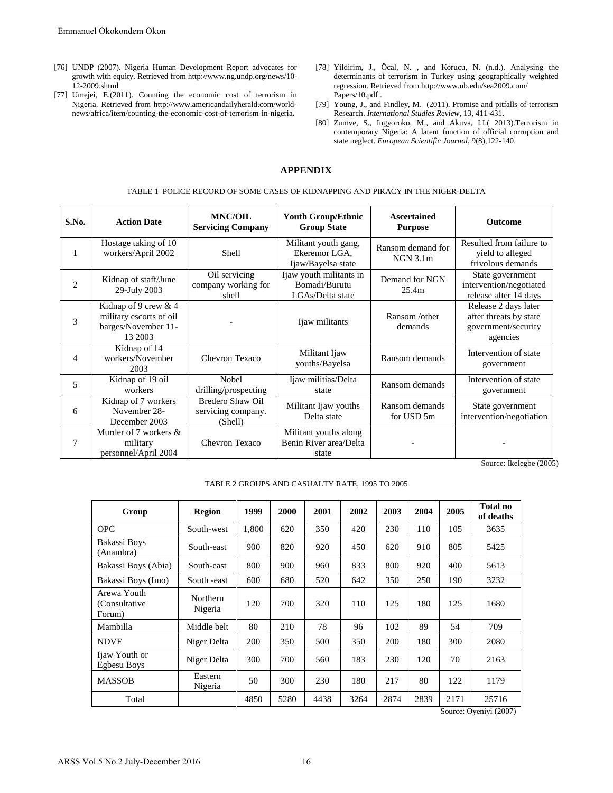- [76] UNDP (2007). Nigeria Human Development Report advocates for growth with equity. Retrieved from http://www.ng.undp.org/news/10- 12-2009.shtml
- [77] [Umejei,](http://www.americandailyherald.com/feed/item/emeka-umejei) E.(2011). Counting the economic cost of terrorism in Nigeria. Retrieved from [http://www.americandailyherald.com/world](http://www.americandailyherald.com/world-news/africa/item/counting-the-economic-cost-of-terrorism-in-nigeria)[news/africa/item/counting-the-economic-cost-of-terrorism-in-nigeria](http://www.americandailyherald.com/world-news/africa/item/counting-the-economic-cost-of-terrorism-in-nigeria)**.**
- [78] Yildirim, J., Öcal, N. , and Korucu, N. (n.d.). Analysing the determinants of terrorism in Turkey using geographically weighted regression. Retrieved from <http://www.ub.edu/sea2009.com/> Papers/10.pdf .
- [79] Young, J., and Findley, M. (2011). Promise and pitfalls of terrorism Research. *International Studies Review*, 13, 411-431.
- [80] Zumve, S., Ingyoroko, M., and Akuva, I.I.( 2013).Terrorism in contemporary Nigeria: A latent function of official corruption and state neglect. *European Scientific Journal*, 9(8),122-140.

## **APPENDIX**

|       | 76] UNDP (2007). Nigeria Human Development Report advocates for<br>growth with equity. Retrieved from http://www.ng.undp.org/news/10-<br>12-2009.shtml<br>77] Umejei, E.(2011). Counting the economic cost of terrorism in<br>Nigeria. Retrieved from http://www.americandailyherald.com/world-<br>news/africa/item/counting-the-economic-cost-of-terrorism-in-nigeria. |                                                                                                   |                                                          |                    | <b>APPENDIX</b>                                             | Papers/10.pdf.                                               |                                                |                               |                | [78] Yildirim, J., Öcal, N., and Korucu, N. (n.d.). Analysing the<br>determinants of terrorism in Turkey using geographically weighte<br>regression. Retrieved from http://www.ub.edu/sea2009.com/<br>[79] Young, J., and Findley, M. (2011). Promise and pitfalls of terrorist<br>Research. International Studies Review, 13, 411-431.<br>[80] Zumve, S., Ingyoroko, M., and Akuva, I.I.( 2013). Terrorism i<br>contemporary Nigeria: A latent function of official corruption an<br>state neglect. European Scientific Journal, 9(8), 122-140. |  |  |
|-------|-------------------------------------------------------------------------------------------------------------------------------------------------------------------------------------------------------------------------------------------------------------------------------------------------------------------------------------------------------------------------|---------------------------------------------------------------------------------------------------|----------------------------------------------------------|--------------------|-------------------------------------------------------------|--------------------------------------------------------------|------------------------------------------------|-------------------------------|----------------|--------------------------------------------------------------------------------------------------------------------------------------------------------------------------------------------------------------------------------------------------------------------------------------------------------------------------------------------------------------------------------------------------------------------------------------------------------------------------------------------------------------------------------------------------|--|--|
|       |                                                                                                                                                                                                                                                                                                                                                                         | TABLE 1 POLICE RECORD OF SOME CASES OF KIDNAPPING AND PIRACY IN THE NIGER-DELTA<br><b>MNC/OIL</b> |                                                          |                    | <b>Youth Group/Ethnic</b>                                   |                                                              |                                                | <b>Ascertained</b>            |                |                                                                                                                                                                                                                                                                                                                                                                                                                                                                                                                                                  |  |  |
| S.No. | <b>Action Date</b>                                                                                                                                                                                                                                                                                                                                                      | <b>Servicing Company</b>                                                                          |                                                          | <b>Group State</b> |                                                             |                                                              | <b>Purpose</b>                                 |                               | Outcome        |                                                                                                                                                                                                                                                                                                                                                                                                                                                                                                                                                  |  |  |
| 1     | Hostage taking of 10<br>workers/April 2002                                                                                                                                                                                                                                                                                                                              | Shell                                                                                             |                                                          |                    | Militant youth gang,<br>Ekeremor LGA.<br>Ijaw/Bayelsa state |                                                              |                                                | Ransom demand for<br>NGN 3.1m |                | Resulted from failure to<br>yield to alleged<br>frivolous demands                                                                                                                                                                                                                                                                                                                                                                                                                                                                                |  |  |
| 2     | Kidnap of staff/June<br>29-July 2003                                                                                                                                                                                                                                                                                                                                    |                                                                                                   | Oil servicing<br>company working for<br>shell            |                    |                                                             | Ijaw youth militants in<br>Bomadi/Burutu<br>LGAs/Delta state |                                                | Demand for NGN<br>25.4m       |                | State government<br>intervention/negotiated<br>release after 14 days                                                                                                                                                                                                                                                                                                                                                                                                                                                                             |  |  |
| 3     | Kidnap of 9 crew & 4<br>military escorts of oil<br>barges/November 11-<br>13 2003                                                                                                                                                                                                                                                                                       |                                                                                                   |                                                          |                    |                                                             | Ijaw militants                                               |                                                | Ransom/other<br>demands       |                | Release 2 days later<br>after threats by state<br>government/security<br>agencies                                                                                                                                                                                                                                                                                                                                                                                                                                                                |  |  |
| 4     | Kidnap of 14<br>workers/November<br>2003                                                                                                                                                                                                                                                                                                                                |                                                                                                   | Chevron Texaco                                           |                    |                                                             | Militant Ijaw<br>youths/Bayelsa                              |                                                |                               | Ransom demands | Intervention of state<br>government                                                                                                                                                                                                                                                                                                                                                                                                                                                                                                              |  |  |
| 5     | Kidnap of 19 oil<br>workers                                                                                                                                                                                                                                                                                                                                             |                                                                                                   | Nobel<br>drilling/prospecting                            |                    |                                                             | Ijaw militias/Delta<br>state                                 |                                                |                               | Ransom demands | Intervention of state<br>government                                                                                                                                                                                                                                                                                                                                                                                                                                                                                                              |  |  |
| 6     | Kidnap of 7 workers<br>November 28-<br>December 2003                                                                                                                                                                                                                                                                                                                    |                                                                                                   | <b>Bredero Shaw Oil</b><br>servicing company.<br>(Shell) |                    |                                                             | Militant Ijaw youths<br>Delta state                          |                                                |                               | Ransom demands | State government<br>intervention/negotiation                                                                                                                                                                                                                                                                                                                                                                                                                                                                                                     |  |  |
| 7     | Murder of 7 workers &<br>military<br>personnel/April 2004                                                                                                                                                                                                                                                                                                               | Chevron Texaco                                                                                    |                                                          |                    | Militant youths along<br>Benin River area/Delta<br>state    |                                                              |                                                |                               |                |                                                                                                                                                                                                                                                                                                                                                                                                                                                                                                                                                  |  |  |
|       |                                                                                                                                                                                                                                                                                                                                                                         |                                                                                                   |                                                          |                    |                                                             |                                                              | TABLE 2 GROUPS AND CASUALTY RATE, 1995 TO 2005 |                               |                | Source: Ikelegbe (200:                                                                                                                                                                                                                                                                                                                                                                                                                                                                                                                           |  |  |
|       | Group                                                                                                                                                                                                                                                                                                                                                                   | <b>Region</b>                                                                                     | 1999                                                     | 2000               | 2001                                                        | 2002                                                         | 2003                                           | 2004                          | 2005           | <b>Total no</b><br>of deaths                                                                                                                                                                                                                                                                                                                                                                                                                                                                                                                     |  |  |
|       | <b>OPC</b>                                                                                                                                                                                                                                                                                                                                                              | South-west                                                                                        | 1,800                                                    | 620                | 350                                                         | 420                                                          | 230                                            | 110                           | 105            | 3635                                                                                                                                                                                                                                                                                                                                                                                                                                                                                                                                             |  |  |
|       | <b>Bakassi Boys</b><br>(Anambra)                                                                                                                                                                                                                                                                                                                                        | South-east                                                                                        | 900                                                      | 820                | 920                                                         | 450                                                          | 620                                            | 910                           | 805            | 5425                                                                                                                                                                                                                                                                                                                                                                                                                                                                                                                                             |  |  |
|       | Bakassi Boys (Abia)                                                                                                                                                                                                                                                                                                                                                     | South-east                                                                                        | 800                                                      | 900                | 960                                                         | 833                                                          | 800                                            | 920                           | 400            | 5613                                                                                                                                                                                                                                                                                                                                                                                                                                                                                                                                             |  |  |
|       | Bakassi Boys (Imo)<br>Arewa Youth                                                                                                                                                                                                                                                                                                                                       | South -east                                                                                       | 600                                                      | 680                | 520                                                         | 642                                                          | 350                                            | 250                           | 190            | 3232                                                                                                                                                                                                                                                                                                                                                                                                                                                                                                                                             |  |  |
|       | (Consultative<br>Forum)                                                                                                                                                                                                                                                                                                                                                 | Northern<br>Nigeria                                                                               | 120                                                      | 700                | 320                                                         | 110                                                          | 125                                            | 180                           | 125            | 1680                                                                                                                                                                                                                                                                                                                                                                                                                                                                                                                                             |  |  |
|       | Mambilla                                                                                                                                                                                                                                                                                                                                                                | Middle belt                                                                                       | 80                                                       | 210                | 78                                                          | 96                                                           | 102                                            | 89                            | 54             | 709                                                                                                                                                                                                                                                                                                                                                                                                                                                                                                                                              |  |  |
|       | <b>NDVF</b>                                                                                                                                                                                                                                                                                                                                                             | Niger Delta                                                                                       | 200                                                      | 350                | 500                                                         | 350                                                          | 200                                            | 180                           | 300            | 2080                                                                                                                                                                                                                                                                                                                                                                                                                                                                                                                                             |  |  |
|       | Ijaw Youth or<br><b>Egbesu Boys</b>                                                                                                                                                                                                                                                                                                                                     | Niger Delta                                                                                       | 300                                                      | 700                | 560                                                         | 183                                                          | 230                                            | 120                           | 70             | 2163                                                                                                                                                                                                                                                                                                                                                                                                                                                                                                                                             |  |  |
|       | <b>MASSOB</b>                                                                                                                                                                                                                                                                                                                                                           | Eastern<br>Nigeria                                                                                | 50                                                       | 300                | 230                                                         | 180                                                          | 217                                            | 80                            | 122            | 1179                                                                                                                                                                                                                                                                                                                                                                                                                                                                                                                                             |  |  |
|       | Total                                                                                                                                                                                                                                                                                                                                                                   |                                                                                                   | 4850                                                     | 5280               | 4438                                                        | 3264                                                         | 2874                                           | 2839                          | 2171           | 25716                                                                                                                                                                                                                                                                                                                                                                                                                                                                                                                                            |  |  |
|       |                                                                                                                                                                                                                                                                                                                                                                         |                                                                                                   |                                                          |                    |                                                             |                                                              |                                                |                               |                | Source: Oyeniyi (2007)                                                                                                                                                                                                                                                                                                                                                                                                                                                                                                                           |  |  |

Source: Ikelegbe (2005)

| Group                                   | <b>Region</b>       | 1999  | 2000 | 2001 | 2002 | 2003 | 2004 | 2005 | Total no<br>of deaths |
|-----------------------------------------|---------------------|-------|------|------|------|------|------|------|-----------------------|
| <b>OPC</b>                              | South-west          | 1,800 | 620  | 350  | 420  | 230  | 110  | 105  | 3635                  |
| Bakassi Boys<br>(Anambra)               | South-east          | 900   | 820  | 920  | 450  | 620  | 910  | 805  | 5425                  |
| Bakassi Boys (Abia)                     | South-east          | 800   | 900  | 960  | 833  | 800  | 920  | 400  | 5613                  |
| Bakassi Boys (Imo)                      | South -east         | 600   | 680  | 520  | 642  | 350  | 250  | 190  | 3232                  |
| Arewa Youth<br>(Consultative)<br>Forum) | Northern<br>Nigeria | 120   | 700  | 320  | 110  | 125  | 180  | 125  | 1680                  |
| Mambilla                                | Middle belt         | 80    | 210  | 78   | 96   | 102  | 89   | 54   | 709                   |
| <b>NDVF</b>                             | Niger Delta         | 200   | 350  | 500  | 350  | 200  | 180  | 300  | 2080                  |
| Ijaw Youth or<br>Egbesu Boys            | Niger Delta         | 300   | 700  | 560  | 183  | 230  | 120  | 70   | 2163                  |
| <b>MASSOB</b>                           | Eastern<br>Nigeria  | 50    | 300  | 230  | 180  | 217  | 80   | 122  | 1179                  |
| Total                                   |                     | 4850  | 5280 | 4438 | 3264 | 2874 | 2839 | 2171 | 25716                 |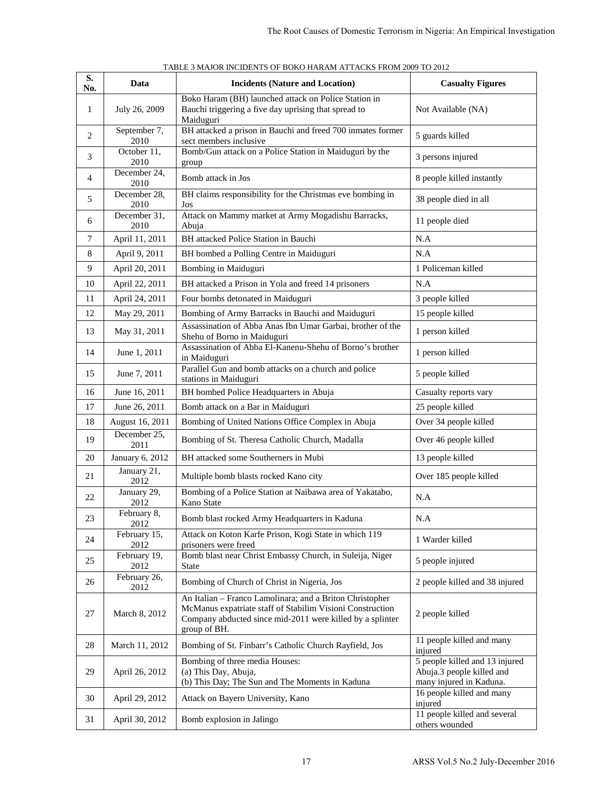| S.             | Data                 | <b>Incidents (Nature and Location)</b>                                                                                                                                                             | <b>Casualty Figures</b>                                                                |
|----------------|----------------------|----------------------------------------------------------------------------------------------------------------------------------------------------------------------------------------------------|----------------------------------------------------------------------------------------|
| No.<br>1       | July 26, 2009        | Boko Haram (BH) launched attack on Police Station in<br>Bauchi triggering a five day uprising that spread to<br>Maiduguri                                                                          | Not Available (NA)                                                                     |
| $\overline{2}$ | September 7,<br>2010 | BH attacked a prison in Bauchi and freed 700 inmates former<br>sect members inclusive                                                                                                              | 5 guards killed                                                                        |
| 3              | October 11,<br>2010  | Bomb/Gun attack on a Police Station in Maiduguri by the<br>group                                                                                                                                   | 3 persons injured                                                                      |
| 4              | December 24,<br>2010 | Bomb attack in Jos                                                                                                                                                                                 | 8 people killed instantly                                                              |
| 5              | December 28,<br>2010 | BH claims responsibility for the Christmas eve bombing in<br>Jos                                                                                                                                   | 38 people died in all                                                                  |
| 6              | December 31,<br>2010 | Attack on Mammy market at Army Mogadishu Barracks,<br>Abuja                                                                                                                                        | 11 people died                                                                         |
| 7              | April 11, 2011       | BH attacked Police Station in Bauchi                                                                                                                                                               | N.A                                                                                    |
| 8              | April 9, 2011        | BH bombed a Polling Centre in Maiduguri                                                                                                                                                            | N.A                                                                                    |
| 9              | April 20, 2011       | Bombing in Maiduguri                                                                                                                                                                               | 1 Policeman killed                                                                     |
| 10             | April 22, 2011       | BH attacked a Prison in Yola and freed 14 prisoners                                                                                                                                                | N.A                                                                                    |
| 11             | April 24, 2011       | Four bombs detonated in Maiduguri                                                                                                                                                                  | 3 people killed                                                                        |
| 12             | May 29, 2011         | Bombing of Army Barracks in Bauchi and Maiduguri                                                                                                                                                   | 15 people killed                                                                       |
| 13             | May 31, 2011         | Assassination of Abba Anas Ibn Umar Garbai, brother of the<br>Shehu of Borno in Maiduguri                                                                                                          | 1 person killed                                                                        |
| 14             | June 1, 2011         | Assassination of Abba El-Kanenu-Shehu of Borno's brother<br>in Maiduguri                                                                                                                           | 1 person killed                                                                        |
| 15             | June 7, 2011         | Parallel Gun and bomb attacks on a church and police<br>stations in Maiduguri                                                                                                                      | 5 people killed                                                                        |
| 16             | June 16, 2011        | BH bombed Police Headquarters in Abuja                                                                                                                                                             | Casualty reports vary                                                                  |
| 17             | June 26, 2011        | Bomb attack on a Bar in Maiduguri                                                                                                                                                                  | 25 people killed                                                                       |
| 18             | August 16, 2011      | Bombing of United Nations Office Complex in Abuja                                                                                                                                                  | Over 34 people killed                                                                  |
| 19             | December 25,<br>2011 | Bombing of St. Theresa Catholic Church, Madalla                                                                                                                                                    | Over 46 people killed                                                                  |
| 20             | January 6, 2012      | BH attacked some Southerners in Mubi                                                                                                                                                               | 13 people killed                                                                       |
| 21             | January 21,<br>2012  | Multiple bomb blasts rocked Kano city                                                                                                                                                              | Over 185 people killed                                                                 |
| 22             | January 29,<br>2012  | Bombing of a Police Station at Naibawa area of Yakatabo,<br>Kano State                                                                                                                             | N.A                                                                                    |
| 23             | February 8,<br>2012  | Bomb blast rocked Army Headquarters in Kaduna                                                                                                                                                      | N.A                                                                                    |
| 24             | February 15,<br>2012 | Attack on Koton Karfe Prison, Kogi State in which 119<br>prisoners were freed                                                                                                                      | 1 Warder killed                                                                        |
| 25             | February 19,<br>2012 | Bomb blast near Christ Embassy Church, in Suleija, Niger<br><b>State</b>                                                                                                                           | 5 people injured                                                                       |
| 26             | February 26,<br>2012 | Bombing of Church of Christ in Nigeria, Jos                                                                                                                                                        | 2 people killed and 38 injured                                                         |
| 27             | March 8, 2012        | An Italian - Franco Lamolinara; and a Briton Christopher<br>McManus expatriate staff of Stabilim Visioni Construction<br>Company abducted since mid-2011 were killed by a splinter<br>group of BH. | 2 people killed                                                                        |
| 28             | March 11, 2012       | Bombing of St. Finbarr's Catholic Church Rayfield, Jos                                                                                                                                             | 11 people killed and many<br>injured                                                   |
| 29             | April 26, 2012       | Bombing of three media Houses:<br>(a) This Day, Abuja,<br>(b) This Day; The Sun and The Moments in Kaduna                                                                                          | 5 people killed and 13 injured<br>Abuja.3 people killed and<br>many injured in Kaduna. |
| 30             | April 29, 2012       | Attack on Bayero University, Kano                                                                                                                                                                  | 16 people killed and many<br>injured                                                   |
| 31             | April 30, 2012       | Bomb explosion in Jalingo                                                                                                                                                                          | 11 people killed and several<br>others wounded                                         |

TABLE 3 MAJOR INCIDENTS OF BOKO HARAM ATTACKS FROM 2009 TO 2012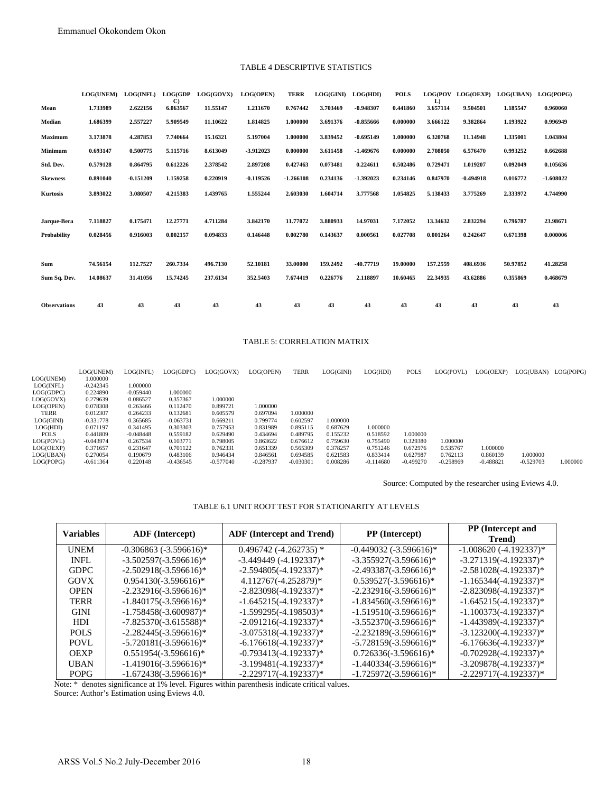#### TABLE 4 DESCRIPTIVE STATISTICS

|                                                                                                                                        | Emmanuel Okokondem Okon                                                                                                                                  |                                                                                                                                                    |                                                                                                                                        |                                                                                                                         |                                                                                                                           |                                                                                                 |                                                                                  |                                                                         |                                                             |                                                 |                                     |                                                      |                   |
|----------------------------------------------------------------------------------------------------------------------------------------|----------------------------------------------------------------------------------------------------------------------------------------------------------|----------------------------------------------------------------------------------------------------------------------------------------------------|----------------------------------------------------------------------------------------------------------------------------------------|-------------------------------------------------------------------------------------------------------------------------|---------------------------------------------------------------------------------------------------------------------------|-------------------------------------------------------------------------------------------------|----------------------------------------------------------------------------------|-------------------------------------------------------------------------|-------------------------------------------------------------|-------------------------------------------------|-------------------------------------|------------------------------------------------------|-------------------|
|                                                                                                                                        |                                                                                                                                                          |                                                                                                                                                    |                                                                                                                                        |                                                                                                                         | TABLE 4 DESCRIPTIVE STATISTICS                                                                                            |                                                                                                 |                                                                                  |                                                                         |                                                             |                                                 |                                     |                                                      |                   |
|                                                                                                                                        | <b>LOG(UNEM)</b>                                                                                                                                         | <b>LOG(INFL)</b>                                                                                                                                   |                                                                                                                                        | LOG(GDP LOG(GOVX)                                                                                                       | LOG(OPEN)                                                                                                                 | <b>TERR</b>                                                                                     | LOG(GINI) LOG(HDI)                                                               |                                                                         | <b>POLS</b>                                                 |                                                 |                                     | LOG(POV LOG(OEXP) LOG(UBAN) LOG(POPG)                |                   |
| Mean                                                                                                                                   | 1.733989                                                                                                                                                 | 2.622156                                                                                                                                           | C)<br>6.063567                                                                                                                         | 11.55147                                                                                                                | 1.211670                                                                                                                  | 0.767442                                                                                        | 3.703469                                                                         | $-0.948307$                                                             | 0.441860                                                    | L)<br>3.657114                                  | 9.504501                            | 1.185547                                             | 0.960060          |
| Median                                                                                                                                 | 1.686399                                                                                                                                                 | 2.557227                                                                                                                                           | 5.909549                                                                                                                               | 11.10622                                                                                                                | 1.814825                                                                                                                  | 1.000000                                                                                        | 3.691376                                                                         | $-0.855666$                                                             | 0.000000                                                    | 3.666122                                        | 9.382864                            | 1.193922                                             | 0.996949          |
| Maximum                                                                                                                                | 3.173878                                                                                                                                                 | 4.287853                                                                                                                                           | 7.740664                                                                                                                               | 15.16321                                                                                                                | 5.197004                                                                                                                  | 1.000000                                                                                        | 3.839452                                                                         | $-0.695149$                                                             | 1.000000                                                    | 6.320768                                        | 11.14948                            | 1.335001                                             | 1.043804          |
| Minimum                                                                                                                                | 0.693147                                                                                                                                                 | 0.500775                                                                                                                                           | 5.115716                                                                                                                               | 8.613049                                                                                                                | -3.912023                                                                                                                 | 0.000000                                                                                        | 3.611458                                                                         | $-1.469676$                                                             | 0.000000                                                    | 2.708050                                        | 6.576470                            | 0.993252                                             | 0.662688          |
| Std. Dev.                                                                                                                              | 0.579128                                                                                                                                                 | 0.864795                                                                                                                                           | 0.612226                                                                                                                               | 2.378542                                                                                                                | 2.897208                                                                                                                  | 0.427463                                                                                        | 0.073481                                                                         | 0.224611                                                                | 0.502486                                                    | 0.729471                                        | 1.019207                            | 0.092049                                             | 0.105636          |
| <b>Skewness</b>                                                                                                                        | 0.891040                                                                                                                                                 | $-0.151209$                                                                                                                                        | 1.159258                                                                                                                               | 0.220919                                                                                                                | $-0.119526$                                                                                                               | -1.266108                                                                                       | 0.234136                                                                         | -1.392023                                                               | 0.234146                                                    | 0.847970                                        | $-0.494918$                         | 0.016772                                             | $-1.608022$       |
| <b>Kurtosis</b>                                                                                                                        | 3.893022                                                                                                                                                 | 3.080507                                                                                                                                           | 4.215383                                                                                                                               | 1.439765                                                                                                                | 1.555244                                                                                                                  | 2.603030                                                                                        | 1.604714                                                                         | 3.777568                                                                | 1.054825                                                    | 5.138433                                        | 3.775269                            | 2.333972                                             | 4.744990          |
| Jarque-Bera                                                                                                                            | 7.118827                                                                                                                                                 | 0.175471                                                                                                                                           | 12.27771                                                                                                                               | 4.711284                                                                                                                | 3.842170                                                                                                                  | 11.77072                                                                                        | 3.880933                                                                         | 14.97031                                                                | 7.172052                                                    | 13.34632                                        | 2.832294                            | 0.796787                                             | 23.98671          |
| <b>Probability</b>                                                                                                                     | 0.028456                                                                                                                                                 | 0.916003                                                                                                                                           | 0.002157                                                                                                                               | 0.094833                                                                                                                | 0.146448                                                                                                                  | 0.002780                                                                                        | 0.143637                                                                         | 0.000561                                                                | 0.027708                                                    | 0.001264                                        | 0.242647                            | 0.671398                                             | 0.000006          |
| Sum                                                                                                                                    | 74.56154                                                                                                                                                 | 112.7527                                                                                                                                           | 260.7334                                                                                                                               | 496.7130                                                                                                                | 52.10181                                                                                                                  | 33.00000                                                                                        | 159.2492                                                                         | -40.77719                                                               | 19.00000                                                    | 157.2559                                        | 408.6936                            | 50.97852                                             | 41.28258          |
| Sum Sq. Dev.                                                                                                                           | 14.08637                                                                                                                                                 | 31.41056                                                                                                                                           | 15.74245                                                                                                                               | 237.6134                                                                                                                | 352.5403                                                                                                                  | 7.674419                                                                                        | 0.226776                                                                         | 2.118897                                                                | 10.60465                                                    | 22.34935                                        | 43.62886                            | 0.355869                                             | 0.468679          |
| <b>Observations</b>                                                                                                                    | 43                                                                                                                                                       | 43                                                                                                                                                 | 43                                                                                                                                     | 43                                                                                                                      | 43                                                                                                                        | 43                                                                                              | 43                                                                               | 43                                                                      | 43                                                          | 43                                              | 43                                  | 43                                                   | 43                |
|                                                                                                                                        |                                                                                                                                                          |                                                                                                                                                    |                                                                                                                                        |                                                                                                                         | <b>TABLE 5: CORRELATION MATRIX</b>                                                                                        |                                                                                                 |                                                                                  |                                                                         |                                                             |                                                 |                                     |                                                      |                   |
|                                                                                                                                        |                                                                                                                                                          |                                                                                                                                                    |                                                                                                                                        |                                                                                                                         |                                                                                                                           |                                                                                                 |                                                                                  |                                                                         |                                                             |                                                 |                                     |                                                      |                   |
| OG(UNEM)                                                                                                                               | LOG(UNEM)<br>1.000000                                                                                                                                    | LOG(INFL)                                                                                                                                          | LOG(GDPC)                                                                                                                              | LOG(GOVX)                                                                                                               | LOG(OPEN)                                                                                                                 | <b>TERR</b>                                                                                     | LOG(GINI)                                                                        | LOG(HDI)                                                                | <b>POLS</b>                                                 | LOG(POVL)                                       |                                     | LOG(OEXP) LOG(UBAN) LOG(P                            |                   |
| .OG(INFL)<br>OG(GDPC)<br>OG(GOVX)<br>OG(OPEN)<br>TERR<br>.OG(GINI)<br>LOG(HDI)<br>POLS<br>OG(POVL)<br>OG(OEXP)<br>OG(UBAN)<br>OG(POPG) | $-0.242345$<br>0.224890<br>0.279639<br>0.078308<br>0.012307<br>$-0.331778$<br>0.071197<br>0.441809<br>$-0.043974$<br>0.371657<br>0.270054<br>$-0.611364$ | 1.000000<br>$-0.059440$<br>0.086527<br>0.263466<br>0.264233<br>0.365685<br>0.341495<br>$-0.048448$<br>0.267534<br>0.231647<br>0.190679<br>0.220148 | 1.000000<br>0.357367<br>0.112470<br>0.132681<br>$-0.063731$<br>0.303303<br>0.559182<br>0.103771<br>0.701122<br>0.483106<br>$-0.436545$ | 1.000000<br>0.899721<br>0.605579<br>0.669211<br>0.757953<br>0.629490<br>0.798005<br>0.762331<br>0.946434<br>$-0.577040$ | 1.000000<br>0.697094<br>0.799774<br>0.831989<br>0.434694<br>0.863622<br>0.651339<br>0.846561<br>$-0.287937$               | 1.000000<br>0.602597<br>0.895115<br>0.489795<br>0.676612<br>0.565309<br>0.694585<br>$-0.030301$ | 1.000000<br>0.687629<br>0.155232<br>0.759630<br>0.378257<br>0.621583<br>0.008286 | 1.000000<br>0.518592<br>0.755490<br>0.751246<br>0.833414<br>$-0.114680$ | 1.000000<br>0.329380<br>0.672976<br>0.627987<br>$-0.499270$ | 1.000000<br>0.535767<br>0.762113<br>$-0.258969$ | 1.000000<br>0.860139<br>$-0.488821$ | $-0.529703$                                          | 1.000000<br>1.000 |
|                                                                                                                                        |                                                                                                                                                          |                                                                                                                                                    |                                                                                                                                        |                                                                                                                         |                                                                                                                           |                                                                                                 |                                                                                  |                                                                         |                                                             |                                                 |                                     | Source: Computed by the researcher using Eviews 4.0. |                   |
|                                                                                                                                        |                                                                                                                                                          |                                                                                                                                                    |                                                                                                                                        |                                                                                                                         | TABLE 6.1 UNIT ROOT TEST FOR STATIONARITY AT LEVELS                                                                       |                                                                                                 |                                                                                  |                                                                         |                                                             |                                                 |                                     |                                                      |                   |
|                                                                                                                                        | <b>Variables</b>                                                                                                                                         |                                                                                                                                                    | <b>ADF</b> (Intercept)                                                                                                                 |                                                                                                                         | <b>ADF</b> (Intercept and Trend)                                                                                          |                                                                                                 |                                                                                  |                                                                         | PP (Intercept)                                              |                                                 |                                     | PP (Intercept and                                    |                   |
|                                                                                                                                        | <b>UNEM</b>                                                                                                                                              | $-0.306863$ $(-3.596616)*$                                                                                                                         |                                                                                                                                        |                                                                                                                         | $0.496742$ (-4.262735) *                                                                                                  |                                                                                                 |                                                                                  | $-0.449032$ $(-3.596616)*$                                              |                                                             |                                                 |                                     | Trend)<br>$-1.008620(-4.192337)*$                    |                   |
|                                                                                                                                        | <b>INFL</b>                                                                                                                                              | $-3.502597(-3.596616)*$                                                                                                                            |                                                                                                                                        |                                                                                                                         | $-3.449449(-4.192337)*$                                                                                                   |                                                                                                 |                                                                                  | $-3.355927(-3.596616)*$                                                 |                                                             |                                                 |                                     | $-3.271319(-4.192337)*$                              |                   |
|                                                                                                                                        | <b>GDPC</b>                                                                                                                                              | $-2.502918(-3.596616)$ *                                                                                                                           |                                                                                                                                        |                                                                                                                         | $-2.594805(-4.192337)^*$                                                                                                  |                                                                                                 |                                                                                  | $-2.493387(-3.596616)*$                                                 |                                                             |                                                 |                                     | $-2.581028(-4.192337)*$                              |                   |
|                                                                                                                                        | <b>GOVX</b><br><b>OPEN</b>                                                                                                                               | $0.954130(-3.596616)*$<br>$-2.232916(-3.596616)*$                                                                                                  |                                                                                                                                        |                                                                                                                         | 4.112767(-4.252879)*<br>$-2.823098(-4.192337)*$                                                                           |                                                                                                 |                                                                                  | $0.539527(-3.596616)^*$<br>$-2.232916(-3.596616)*$                      |                                                             |                                                 |                                     | $-1.165344(-4.192337)*$<br>$-2.823098(-4.192337)*$   |                   |
|                                                                                                                                        | <b>TERR</b>                                                                                                                                              | $-1.840175(-3.596616)*$                                                                                                                            |                                                                                                                                        |                                                                                                                         | $-1.645215(-4.192337)^{*}$                                                                                                |                                                                                                 |                                                                                  | $-1.834560(-3.596616)*$                                                 |                                                             |                                                 |                                     | $-1.645215(-4.192337)*$                              |                   |
|                                                                                                                                        | <b>GINI</b>                                                                                                                                              | $-1.758458(-3.600987)*$                                                                                                                            |                                                                                                                                        |                                                                                                                         | $-1.599295(-4.198503)*$                                                                                                   |                                                                                                 |                                                                                  | $-1.519510(-3.596616)*$                                                 |                                                             |                                                 |                                     | $-1.100373(-4.192337)^*$                             |                   |
|                                                                                                                                        | ${\rm HDI}$                                                                                                                                              | $-7.825370(-3.615588)*$                                                                                                                            |                                                                                                                                        |                                                                                                                         | $-2.091216(-4.192337)*$                                                                                                   |                                                                                                 |                                                                                  | $-3.552370(-3.596616)*$                                                 |                                                             |                                                 |                                     | $-1.443989(-4.192337)*$                              |                   |
|                                                                                                                                        | <b>POLS</b><br><b>POVL</b>                                                                                                                               | $-2.282445(-3.596616)$ *<br>$-5.720181(-3.596616)*$                                                                                                |                                                                                                                                        |                                                                                                                         | $-3.075318(-4.192337)^*$<br>$-6.176618(-4.192337)*$                                                                       |                                                                                                 |                                                                                  | $-2.232189(-3.596616)*$<br>$-5.728159(-3.596616)*$                      |                                                             |                                                 |                                     | $-3.123200(-4.192337)^*$<br>$-6.176636(-4.192337)*$  |                   |
|                                                                                                                                        | <b>OEXP</b>                                                                                                                                              | $0.551954(-3.596616)*$                                                                                                                             |                                                                                                                                        |                                                                                                                         | $-0.793413(-4.192337)*$                                                                                                   |                                                                                                 |                                                                                  | $0.726336(-3.596616)*$                                                  |                                                             |                                                 |                                     | $-0.702928(-4.192337)*$                              |                   |
|                                                                                                                                        | <b>UBAN</b>                                                                                                                                              | $-1.419016(-3.596616)*$                                                                                                                            |                                                                                                                                        |                                                                                                                         | $-3.199481(-4.192337)*$                                                                                                   |                                                                                                 |                                                                                  | $-1.440334(-3.596616)*$                                                 |                                                             |                                                 |                                     | $-3.209878(-4.192337)*$                              |                   |
|                                                                                                                                        | <b>POPG</b>                                                                                                                                              | $-1.672438(-3.596616)*$                                                                                                                            |                                                                                                                                        |                                                                                                                         | $-2.229717(-4.192337)*$<br>Note: * denotes significance at 1% level. Figures within parenthesis indicate critical values. |                                                                                                 |                                                                                  | $-1.725972(-3.596616)*$                                                 |                                                             |                                                 |                                     | $-2.229717(-4.192337)^*$                             |                   |
|                                                                                                                                        | Source: Author's Estimation using Eviews 4.0.                                                                                                            |                                                                                                                                                    |                                                                                                                                        |                                                                                                                         |                                                                                                                           |                                                                                                 |                                                                                  |                                                                         |                                                             |                                                 |                                     |                                                      |                   |
|                                                                                                                                        | ARSS Vol.5 No.2 July-December 2016                                                                                                                       |                                                                                                                                                    |                                                                                                                                        |                                                                                                                         |                                                                                                                           | 18                                                                                              |                                                                                  |                                                                         |                                                             |                                                 |                                     |                                                      |                   |

#### TABLE 5: CORRELATION MATRIX

|             | LOG(UNEM)   | LOG(INFL)   | LOG(GDPC)   | LOG(GOVX)   | LOG(OPEN)   | TERR        | LOG(GINI) | LOG(HDI)    | <b>POLS</b> | LOG(POVL)   | LOG(OEXP)   | LOG(UBAN)   | LOG(POPG) |
|-------------|-------------|-------------|-------------|-------------|-------------|-------------|-----------|-------------|-------------|-------------|-------------|-------------|-----------|
| LOG(UNEM)   | 1.000000    |             |             |             |             |             |           |             |             |             |             |             |           |
| LOG(INFL)   | $-0.242345$ | 1.000000    |             |             |             |             |           |             |             |             |             |             |           |
| LOG(GDPC)   | 0.224890    | $-0.059440$ | 1.000000    |             |             |             |           |             |             |             |             |             |           |
| LOG(GOVX)   | 0.279639    | 0.086527    | 0.357367    | 1.000000    |             |             |           |             |             |             |             |             |           |
| LOG(OPEN)   | 0.078308    | 0.263466    | 0.112470    | 0.899721    | 1.000000    |             |           |             |             |             |             |             |           |
| TERR        | 0.012307    | 0.264233    | 0.132681    | 0.605579    | 0.697094    | 1.000000    |           |             |             |             |             |             |           |
| LOG(GINI)   | $-0.331778$ | 0.365685    | $-0.063731$ | 0.669211    | 0.799774    | 0.602597    | 1.000000  |             |             |             |             |             |           |
| LOG(HDD)    | 0.071197    | 0.341495    | 0.303303    | 0.757953    | 0.831989    | 0.895115    | 0.687629  | 1.000000    |             |             |             |             |           |
| <b>POLS</b> | 0.441809    | $-0.048448$ | 0.559182    | 0.629490    | 0.434694    | 0.489795    | 0.155232  | 0.518592    | 1.000000    |             |             |             |           |
| LOG(POVL)   | $-0.043974$ | 0.267534    | 0.103771    | 0.798005    | 0.863622    | 0.676612    | 0.759630  | 0.755490    | 0.329380    | 1.000000    |             |             |           |
| LOG(OEXP)   | 0.371657    | 0.231647    | 0.701122    | 0.762331    | 0.651339    | 0.565309    | 0.378257  | 0.751246    | 0.672976    | 0.535767    | 1.000000    |             |           |
| LOG(UBAN)   | 0.270054    | 0.190679    | 0.483106    | 0.946434    | 0.846561    | 0.694585    | 0.621583  | 0.833414    | 0.627987    | 0.762113    | 0.860139    | 1.000000    |           |
| LOG(POPG)   | $-0.611364$ | 0.220148    | $-0.436545$ | $-0.577040$ | $-0.287937$ | $-0.030301$ | 0.008286  | $-0.114680$ | $-0.499270$ | $-0.258969$ | $-0.488821$ | $-0.529703$ | 1.000000  |
|             |             |             |             |             |             |             |           |             |             |             |             |             |           |

# TABLE 6.1 UNIT ROOT TEST FOR STATIONARITY AT LEVELS

| Variables   | <b>ADF</b> (Intercept)   | <b>ADF</b> (Intercept and Trend) | <b>PP</b> (Intercept)      | PP (Intercept and<br>Trend) |
|-------------|--------------------------|----------------------------------|----------------------------|-----------------------------|
| <b>UNEM</b> | $-0.306863(-3.596616)$   | $0.496742$ (-4.262735) *         | $-0.449032$ $(-3.596616)*$ | $-1.008620(-4.192337)^*$    |
| INFL        | $-3.502597(-3.596616)^*$ | $-3.449449(-4.192337)^*$         | $-3.355927(-3.596616)^*$   | $-3.271319(-4.192337)^*$    |
| <b>GDPC</b> | $-2.502918(-3.596616)^*$ | $-2.594805(-4.192337)^*$         | $-2.493387(-3.596616)^*$   | $-2.581028(-4.192337)^*$    |
| GOVX        | $0.954130(-3.596616)$ *  | 4.112767(-4.252879)*             | $0.539527(-3.596616)^*$    | $-1.165344(-4.192337)^*$    |
| OPEN        | $-2.232916(-3.596616)^*$ | $-2.823098(-4.192337)^*$         | $-2.232916(-3.596616)^*$   | $-2.823098(-4.192337)^*$    |
| TERR        | $-1.840175(-3.596616)^*$ | $-1.645215(-4.192337)^*$         | $-1.834560(-3.596616)$ *   | $-1.645215(-4.192337)^*$    |
| <b>GINI</b> | $-1.758458(-3.600987)$ * | $-1.599295(-4.198503)^*$         | $-1.519510(-3.596616)^*$   | $-1.100373(-4.192337)^*$    |
| HDI.        | $-7.825370(-3.615588)*$  | $-2.091216(-4.192337)^*$         | $-3.552370(-3.596616)^*$   | $-1.443989(-4.192337)^*$    |
| POLS        | $-2.282445(-3.596616)^*$ | $-3.075318(-4.192337)*$          | $-2.232189(-3.596616)^*$   | $-3.123200(-4.192337)^*$    |
| POVL        | $-5.720181(-3.596616)$ * | $-6.176618(-4.192337)^*$         | $-5.728159(-3.596616)^*$   | $-6.176636(-4.192337)^*$    |
| OEXP        | $0.551954(-3.596616)*$   | $-0.793413(-4.192337)^*$         | $0.726336(-3.596616)^*$    | $-0.702928(-4.192337)^*$    |
| UBAN        | $-1.419016(-3.596616)$ * | $-3.199481(-4.192337)^*$         | $-1.440334(-3.596616)*$    | $-3.209878(-4.192337)^*$    |
| <b>POPG</b> | $-1.672438(-3.596616)^*$ | $-2.229717(-4.192337)^*$         | $-1.725972(-3.596616)$ *   | $-2.229717(-4.192337)^*$    |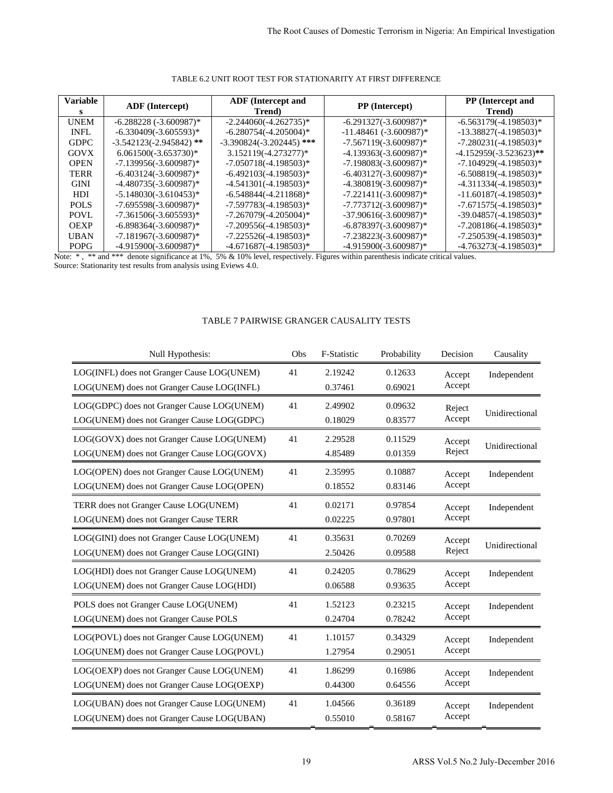| <b>Variable</b> | <b>ADF</b> (Intercept)    | <b>ADF</b> (Intercept and<br>Trend) | <b>PP</b> (Intercept)    | <b>PP</b> (Intercept and<br>Trend) |
|-----------------|---------------------------|-------------------------------------|--------------------------|------------------------------------|
| <b>UNEM</b>     | $-6.288228(-3.600987)$ *  | $-2.244060(-4.262735)*$             | $-6.291327(-3.600987)$ * | $-6.563179(-4.198503)^*$           |
| <b>INFL</b>     | $-6.330409(-3.605593)*$   | $-6.280754(-4.205004)^*$            | $-11.48461(-3.600987)$ * | $-13.38827(-4.198503)^*$           |
| <b>GDPC</b>     | $-3.542123(-2.945842)$ ** | $-3.390824(-3.202445)$ ***          | $-7.567119(-3.600987)$ * | $-7.280231(-4.198503)*$            |
| <b>GOVX</b>     | $6.061500(-3.653730)*$    | 3.152119(-4.273277)*                | $-4.139363(-3.600987)$ * | $-4.152959(-3.523623)**$           |
| <b>OPEN</b>     | $-7.139956(-3.600987)$ *  | $-7.050718(-4.198503)*$             | $-7.198083(-3.600987)$ * | $-7.104929(-4.198503)^*$           |
| <b>TERR</b>     | $-6.403124(-3.600987)$ *  | $-6.492103(-4.198503)^*$            | $-6.403127(-3.600987)^*$ | $-6.508819(-4.198503)*$            |
| <b>GINI</b>     | $-4.480735(-3.600987)$ *  | $-4.541301(-4.198503)*$             | $-4.380819(-3.600987)$ * | $-4.311334(-4.198503)^*$           |
| HDI.            | $-5.148030(-3.610453)*$   | $-6.548844(-4.211868)*$             | $-7.221411(-3.600987)$ * | $-11.60187(-4.198503)*$            |
| POLS            | $-7.695598(-3.600987)$ *  | $-7.597783(-4.198503)^*$            | $-7.773712(-3.600987)$ * | $-7.671575(-4.198503)*$            |
| POVL            | $-7.361506(-3.605593)*$   | $-7.267079(-4.205004)$ *            | $-37.90616(-3.600987)$ * | $-39.04857(-4.198503)*$            |
| <b>OEXP</b>     | $-6.898364(-3.600987)*$   | $-7.209556(-4.198503)*$             | $-6.878397(-3.600987)$ * | $-7.208186(-4.198503)*$            |
| <b>UBAN</b>     | $-7.181967(-3.600987)*$   | $-7.225526(-4.198503)^*$            | $-7.238223(-3.600987)$ * | $-7.250539(-4.198503)*$            |
| <b>POPG</b>     | $-4.915900(-3.600987)^*$  | $-4.671687(-4.198503)^*$            | $-4.915900(-3.600987)$ * | $-4.763273(-4.198503)^*$           |

# TABLE 6.2 UNIT ROOT TEST FOR STATIONARITY AT FIRST DIFFERENCE

# TABLE 7 PAIRWISE GRANGER CAUSALITY TESTS

|                                                            | TABLE 6.2 UNIT ROOT TEST FOR STATIONARITY AT FIRST DIFFERENCE                                                                                               |                                                       |     |                    |                                                         |                             |                                                     |  |
|------------------------------------------------------------|-------------------------------------------------------------------------------------------------------------------------------------------------------------|-------------------------------------------------------|-----|--------------------|---------------------------------------------------------|-----------------------------|-----------------------------------------------------|--|
| <b>ariable</b><br>S                                        | <b>ADF</b> (Intercept)                                                                                                                                      | <b>ADF</b> (Intercept and<br>Trend)                   |     |                    | PP (Intercept)                                          | PP (Intercept and<br>Trend) |                                                     |  |
| <b>UNEM</b>                                                | $-6.288228$ $(-3.600987)$ *                                                                                                                                 | $-2.244060(-4.262735)*$                               |     |                    | $-6.291327(-3.600987)*$                                 |                             | $-6.563179(-4.198503)*$                             |  |
| <b>INFL</b><br>GDPC                                        | $-6.330409(-3.605593)*$<br>$-3.542123(-2.945842)$ **                                                                                                        | $-6.280754(-4.205004)*$<br>$-3.390824(-3.202445)$ *** |     |                    | $-11.48461$ $(-3.600987)$ *<br>$-7.567119(-3.600987)$ * |                             | $-13.38827(-4.198503)^*$<br>$-7.280231(-4.198503)*$ |  |
| GOVX                                                       | $6.061500(-3.653730)*$                                                                                                                                      | 3.152119(-4.273277)*                                  |     |                    | $-4.139363(-3.600987)*$                                 |                             | -4.152959(-3.523623)**                              |  |
| OPEN                                                       | $-7.139956(-3.600987)$ *                                                                                                                                    | $-7.050718(-4.198503)*$                               |     |                    | $-7.198083(-3.600987)*$                                 |                             | $-7.104929(-4.198503)*$                             |  |
| TERR<br><b>GINI</b>                                        | $-6.403124(-3.600987)$ *<br>$-4.480735(-3.600987)*$                                                                                                         | $-6.492103(-4.198503)^*$<br>$-4.541301(-4.198503)*$   |     |                    | $-6.403127(-3.600987)$ *<br>$-4.380819(-3.600987)$ *    |                             | $-6.508819(-4.198503)^*$<br>$-4.311334(-4.198503)*$ |  |
| HDI                                                        | $-5.148030(-3.610453)*$                                                                                                                                     | $-6.548844(-4.211868)*$                               |     |                    | $-7.221411(-3.600987)$ *                                |                             | $-11.60187(-4.198503)*$                             |  |
| POLS                                                       | $-7.695598(-3.600987)*$                                                                                                                                     | $-7.597783(-4.198503)^*$                              |     |                    | $-7.773712(-3.600987)*$                                 |                             | $-7.671575(-4.198503)*$                             |  |
| POVL<br>OEXP                                               | $-7.361506(-3.605593)*$<br>$-6.898364(-3.600987)*$                                                                                                          | $-7.267079(-4.205004)*$<br>$-7.209556(-4.198503)^*$   |     |                    | $-37.90616(-3.600987)$ *<br>$-6.878397(-3.600987)*$     |                             | $-39.04857(-4.198503)*$<br>$-7.208186(-4.198503)*$  |  |
| UBAN<br>$-7.225526(-4.198503)*$<br>$-7.181967(-3.600987)*$ |                                                                                                                                                             |                                                       |     |                    | $-7.238223(-3.600987)*$                                 |                             | $-7.250539(-4.198503)*$                             |  |
| POPG                                                       | $-4.915900(-3.600987)$ *<br>$:$ *, ** and *** denote significance at 1%, 5% & 10% level, respectively. Figures within parenthesis indicate critical values. | $-4.671687(-4.198503)*$                               |     |                    | -4.915900(-3.600987)*                                   |                             | $-4.763273(-4.198503)*$                             |  |
|                                                            |                                                                                                                                                             | TABLE 7 PAIRWISE GRANGER CAUSALITY TESTS              |     |                    |                                                         |                             |                                                     |  |
|                                                            | Null Hypothesis:                                                                                                                                            |                                                       | Obs | F-Statistic        | Probability                                             | Decision                    | Causality                                           |  |
|                                                            | LOG(INFL) does not Granger Cause LOG(UNEM)                                                                                                                  |                                                       | 41  | 2.19242            | 0.12633                                                 | Accept                      | Independent                                         |  |
|                                                            | LOG(UNEM) does not Granger Cause LOG(INFL)                                                                                                                  |                                                       |     | 0.37461            | 0.69021                                                 | Accept                      |                                                     |  |
|                                                            | LOG(GDPC) does not Granger Cause LOG(UNEM)                                                                                                                  |                                                       | 41  | 2.49902            | 0.09632                                                 | Reject<br>Accept            | Unidirectional                                      |  |
|                                                            | LOG(UNEM) does not Granger Cause LOG(GDPC)                                                                                                                  |                                                       |     |                    |                                                         |                             |                                                     |  |
|                                                            |                                                                                                                                                             |                                                       |     | 0.18029            | 0.83577                                                 |                             |                                                     |  |
|                                                            | LOG(GOVX) does not Granger Cause LOG(UNEM)                                                                                                                  |                                                       | 41  | 2.29528            | 0.11529                                                 | Accept                      | Unidirectional                                      |  |
|                                                            | LOG(UNEM) does not Granger Cause LOG(GOVX)                                                                                                                  |                                                       |     | 4.85489            | 0.01359                                                 | Reject                      |                                                     |  |
|                                                            | LOG(OPEN) does not Granger Cause LOG(UNEM)                                                                                                                  |                                                       | 41  | 2.35995            | 0.10887                                                 | Accept                      | Independent                                         |  |
|                                                            | LOG(UNEM) does not Granger Cause LOG(OPEN)                                                                                                                  |                                                       |     | 0.18552            | 0.83146                                                 | Accept                      |                                                     |  |
|                                                            | TERR does not Granger Cause LOG(UNEM)                                                                                                                       |                                                       | 41  | 0.02171            | 0.97854                                                 | Accept                      | Independent                                         |  |
|                                                            | LOG(UNEM) does not Granger Cause TERR                                                                                                                       |                                                       |     | 0.02225            | 0.97801                                                 | Accept                      |                                                     |  |
|                                                            | LOG(GINI) does not Granger Cause LOG(UNEM)                                                                                                                  |                                                       | 41  | 0.35631            | 0.70269                                                 | Accept                      | Unidirectional                                      |  |
|                                                            | LOG(UNEM) does not Granger Cause LOG(GINI)                                                                                                                  |                                                       |     | 2.50426            | 0.09588                                                 | Reject                      |                                                     |  |
|                                                            | LOG(HDI) does not Granger Cause LOG(UNEM)                                                                                                                   |                                                       | 41  | 0.24205            | 0.78629                                                 | Accept                      | Independent                                         |  |
|                                                            | LOG(UNEM) does not Granger Cause LOG(HDI)                                                                                                                   |                                                       |     | 0.06588            | 0.93635                                                 | Accept                      |                                                     |  |
|                                                            | POLS does not Granger Cause LOG(UNEM)                                                                                                                       |                                                       | 41  | 1.52123            | 0.23215                                                 | Accept                      | Independent                                         |  |
|                                                            | LOG(UNEM) does not Granger Cause POLS                                                                                                                       |                                                       |     | 0.24704            | 0.78242                                                 | Accept                      |                                                     |  |
|                                                            | LOG(POVL) does not Granger Cause LOG(UNEM)<br>LOG(UNEM) does not Granger Cause LOG(POVL)                                                                    |                                                       | 41  | 1.10157<br>1.27954 | 0.34329<br>0.29051                                      | Accept<br>Accept            | Independent                                         |  |
|                                                            |                                                                                                                                                             |                                                       |     |                    |                                                         |                             |                                                     |  |
|                                                            | LOG(OEXP) does not Granger Cause LOG(UNEM)<br>LOG(UNEM) does not Granger Cause LOG(OEXP)                                                                    |                                                       | 41  | 1.86299<br>0.44300 | 0.16986<br>0.64556                                      | Accept<br>Accept            | Independent                                         |  |
|                                                            | LOG(UBAN) does not Granger Cause LOG(UNEM)                                                                                                                  |                                                       | 41  | 1.04566            | 0.36189                                                 | Accept                      | Independent                                         |  |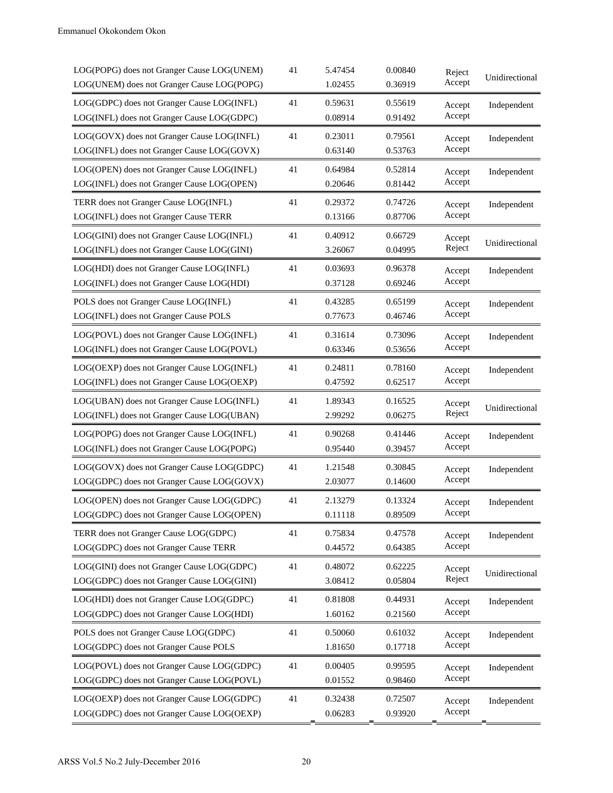| LOG(POPG) does not Granger Cause LOG(UNEM)<br>LOG(UNEM) does not Granger Cause LOG(POPG) | 41 | 5.47454<br>1.02455 | 0.00840<br>0.36919 | Reject<br>Accept | Unidirectional |
|------------------------------------------------------------------------------------------|----|--------------------|--------------------|------------------|----------------|
| LOG(GDPC) does not Granger Cause LOG(INFL)<br>LOG(INFL) does not Granger Cause LOG(GDPC) | 41 | 0.59631<br>0.08914 | 0.55619<br>0.91492 | Accept<br>Accept | Independent    |
| LOG(GOVX) does not Granger Cause LOG(INFL)<br>LOG(INFL) does not Granger Cause LOG(GOVX) | 41 | 0.23011<br>0.63140 | 0.79561<br>0.53763 | Accept<br>Accept | Independent    |
| LOG(OPEN) does not Granger Cause LOG(INFL)<br>LOG(INFL) does not Granger Cause LOG(OPEN) | 41 | 0.64984<br>0.20646 | 0.52814<br>0.81442 | Accept<br>Accept | Independent    |
| TERR does not Granger Cause LOG(INFL)<br>LOG(INFL) does not Granger Cause TERR           | 41 | 0.29372<br>0.13166 | 0.74726<br>0.87706 | Accept<br>Accept | Independent    |
| LOG(GINI) does not Granger Cause LOG(INFL)<br>LOG(INFL) does not Granger Cause LOG(GINI) | 41 | 0.40912<br>3.26067 | 0.66729<br>0.04995 | Accept<br>Reject | Unidirectional |
| LOG(HDI) does not Granger Cause LOG(INFL)<br>LOG(INFL) does not Granger Cause LOG(HDI)   | 41 | 0.03693<br>0.37128 | 0.96378<br>0.69246 | Accept<br>Accept | Independent    |
| POLS does not Granger Cause LOG(INFL)<br>LOG(INFL) does not Granger Cause POLS           | 41 | 0.43285<br>0.77673 | 0.65199<br>0.46746 | Accept<br>Accept | Independent    |
| LOG(POVL) does not Granger Cause LOG(INFL)<br>LOG(INFL) does not Granger Cause LOG(POVL) | 41 | 0.31614<br>0.63346 | 0.73096<br>0.53656 | Accept<br>Accept | Independent    |
| LOG(OEXP) does not Granger Cause LOG(INFL)<br>LOG(INFL) does not Granger Cause LOG(OEXP) | 41 | 0.24811<br>0.47592 | 0.78160<br>0.62517 | Accept<br>Accept | Independent    |
| LOG(UBAN) does not Granger Cause LOG(INFL)<br>LOG(INFL) does not Granger Cause LOG(UBAN) | 41 | 1.89343<br>2.99292 | 0.16525<br>0.06275 | Accept<br>Reject | Unidirectional |
| LOG(POPG) does not Granger Cause LOG(INFL)<br>LOG(INFL) does not Granger Cause LOG(POPG) | 41 | 0.90268<br>0.95440 | 0.41446<br>0.39457 | Accept<br>Accept | Independent    |
| LOG(GOVX) does not Granger Cause LOG(GDPC)<br>LOG(GDPC) does not Granger Cause LOG(GOVX) | 41 | 1.21548<br>2.03077 | 0.30845<br>0.14600 | Accept<br>Accept | Independent    |
| LOG(OPEN) does not Granger Cause LOG(GDPC)<br>LOG(GDPC) does not Granger Cause LOG(OPEN) | 41 | 2.13279<br>0.11118 | 0.13324<br>0.89509 | Accept<br>Accept | Independent    |
| TERR does not Granger Cause LOG(GDPC)<br>LOG(GDPC) does not Granger Cause TERR           | 41 | 0.75834<br>0.44572 | 0.47578<br>0.64385 | Accept<br>Accept | Independent    |
| LOG(GINI) does not Granger Cause LOG(GDPC)<br>LOG(GDPC) does not Granger Cause LOG(GINI) | 41 | 0.48072<br>3.08412 | 0.62225<br>0.05804 | Accept<br>Reject | Unidirectional |
| LOG(HDI) does not Granger Cause LOG(GDPC)<br>LOG(GDPC) does not Granger Cause LOG(HDI)   | 41 | 0.81808<br>1.60162 | 0.44931<br>0.21560 | Accept<br>Accept | Independent    |
| POLS does not Granger Cause LOG(GDPC)<br>LOG(GDPC) does not Granger Cause POLS           | 41 | 0.50060<br>1.81650 | 0.61032<br>0.17718 | Accept<br>Accept | Independent    |
| LOG(POVL) does not Granger Cause LOG(GDPC)<br>LOG(GDPC) does not Granger Cause LOG(POVL) | 41 | 0.00405<br>0.01552 | 0.99595<br>0.98460 | Accept<br>Accept | Independent    |
| LOG(OEXP) does not Granger Cause LOG(GDPC)<br>LOG(GDPC) does not Granger Cause LOG(OEXP) | 41 | 0.32438<br>0.06283 | 0.72507<br>0.93920 | Accept<br>Accept | Independent    |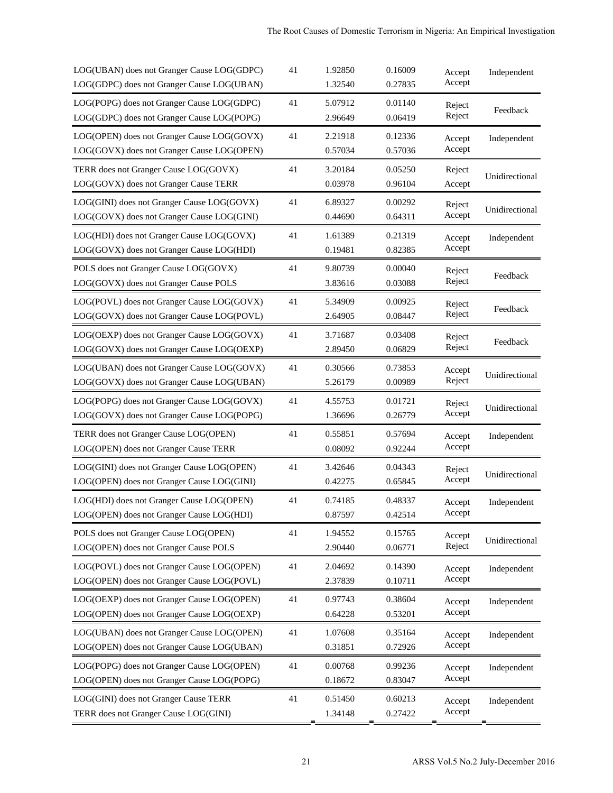| LOG(UBAN) does not Granger Cause LOG(GDPC) | 41 | 1.92850 | 0.16009 | Accept | Independent    |
|--------------------------------------------|----|---------|---------|--------|----------------|
| LOG(GDPC) does not Granger Cause LOG(UBAN) |    | 1.32540 | 0.27835 | Accept |                |
| LOG(POPG) does not Granger Cause LOG(GDPC) | 41 | 5.07912 | 0.01140 | Reject | Feedback       |
| LOG(GDPC) does not Granger Cause LOG(POPG) |    | 2.96649 | 0.06419 | Reject |                |
| LOG(OPEN) does not Granger Cause LOG(GOVX) | 41 | 2.21918 | 0.12336 | Accept | Independent    |
| LOG(GOVX) does not Granger Cause LOG(OPEN) |    | 0.57034 | 0.57036 | Accept |                |
| TERR does not Granger Cause LOG(GOVX)      | 41 | 3.20184 | 0.05250 | Reject | Unidirectional |
| LOG(GOVX) does not Granger Cause TERR      |    | 0.03978 | 0.96104 | Accept |                |
| LOG(GINI) does not Granger Cause LOG(GOVX) | 41 | 6.89327 | 0.00292 | Reject | Unidirectional |
| LOG(GOVX) does not Granger Cause LOG(GINI) |    | 0.44690 | 0.64311 | Accept |                |
| LOG(HDI) does not Granger Cause LOG(GOVX)  | 41 | 1.61389 | 0.21319 | Accept | Independent    |
| LOG(GOVX) does not Granger Cause LOG(HDI)  |    | 0.19481 | 0.82385 | Accept |                |
| POLS does not Granger Cause LOG(GOVX)      | 41 | 9.80739 | 0.00040 | Reject | Feedback       |
| LOG(GOVX) does not Granger Cause POLS      |    | 3.83616 | 0.03088 | Reject |                |
| LOG(POVL) does not Granger Cause LOG(GOVX) | 41 | 5.34909 | 0.00925 | Reject | Feedback       |
| LOG(GOVX) does not Granger Cause LOG(POVL) |    | 2.64905 | 0.08447 | Reject |                |
| LOG(OEXP) does not Granger Cause LOG(GOVX) | 41 | 3.71687 | 0.03408 | Reject | Feedback       |
| LOG(GOVX) does not Granger Cause LOG(OEXP) |    | 2.89450 | 0.06829 | Reject |                |
| LOG(UBAN) does not Granger Cause LOG(GOVX) | 41 | 0.30566 | 0.73853 | Accept | Unidirectional |
| LOG(GOVX) does not Granger Cause LOG(UBAN) |    | 5.26179 | 0.00989 | Reject |                |
| LOG(POPG) does not Granger Cause LOG(GOVX) | 41 | 4.55753 | 0.01721 | Reject |                |
| LOG(GOVX) does not Granger Cause LOG(POPG) |    | 1.36696 | 0.26779 | Accept | Unidirectional |
| TERR does not Granger Cause LOG(OPEN)      | 41 | 0.55851 | 0.57694 | Accept | Independent    |
| LOG(OPEN) does not Granger Cause TERR      |    | 0.08092 | 0.92244 | Accept |                |
| LOG(GINI) does not Granger Cause LOG(OPEN) | 41 | 3.42646 | 0.04343 | Reject |                |
| LOG(OPEN) does not Granger Cause LOG(GINI) |    | 0.42275 | 0.65845 | Accept | Unidirectional |
| LOG(HDI) does not Granger Cause LOG(OPEN)  | 41 | 0.74185 | 0.48337 | Accept | Independent    |
| LOG(OPEN) does not Granger Cause LOG(HDI)  |    | 0.87597 | 0.42514 | Accept |                |
| POLS does not Granger Cause LOG(OPEN)      | 41 | 1.94552 | 0.15765 | Accept |                |
| LOG(OPEN) does not Granger Cause POLS      |    | 2.90440 | 0.06771 | Reject | Unidirectional |
| LOG(POVL) does not Granger Cause LOG(OPEN) | 41 | 2.04692 | 0.14390 | Accept | Independent    |
| LOG(OPEN) does not Granger Cause LOG(POVL) |    | 2.37839 | 0.10711 | Accept |                |
| LOG(OEXP) does not Granger Cause LOG(OPEN) | 41 | 0.97743 | 0.38604 | Accept | Independent    |
| LOG(OPEN) does not Granger Cause LOG(OEXP) |    | 0.64228 | 0.53201 | Accept |                |
| LOG(UBAN) does not Granger Cause LOG(OPEN) | 41 | 1.07608 | 0.35164 | Accept | Independent    |
| LOG(OPEN) does not Granger Cause LOG(UBAN) |    | 0.31851 | 0.72926 | Accept |                |
| LOG(POPG) does not Granger Cause LOG(OPEN) | 41 | 0.00768 | 0.99236 | Accept | Independent    |
| LOG(OPEN) does not Granger Cause LOG(POPG) |    | 0.18672 | 0.83047 | Accept |                |
| LOG(GINI) does not Granger Cause TERR      | 41 | 0.51450 | 0.60213 | Accept | Independent    |
| TERR does not Granger Cause LOG(GINI)      |    | 1.34148 | 0.27422 | Accept |                |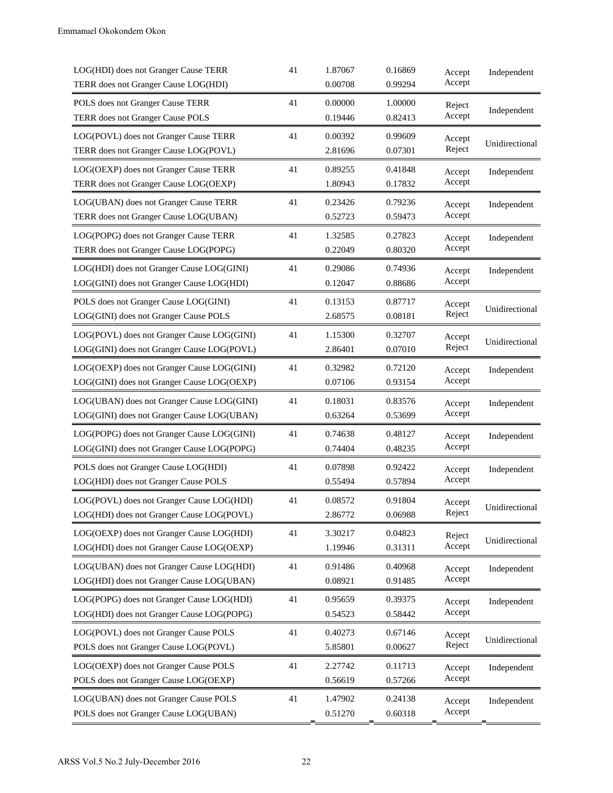| LOG(HDI) does not Granger Cause TERR<br>TERR does not Granger Cause LOG(HDI)             | 41 | 1.87067<br>0.00708 | 0.16869<br>0.99294 | Accept<br>Accept | Independent    |
|------------------------------------------------------------------------------------------|----|--------------------|--------------------|------------------|----------------|
| POLS does not Granger Cause TERR<br>TERR does not Granger Cause POLS                     | 41 | 0.00000<br>0.19446 | 1.00000<br>0.82413 | Reject<br>Accept | Independent    |
| LOG(POVL) does not Granger Cause TERR<br>TERR does not Granger Cause LOG(POVL)           | 41 | 0.00392<br>2.81696 | 0.99609<br>0.07301 | Accept<br>Reject | Unidirectional |
| LOG(OEXP) does not Granger Cause TERR<br>TERR does not Granger Cause LOG(OEXP)           | 41 | 0.89255<br>1.80943 | 0.41848<br>0.17832 | Accept<br>Accept | Independent    |
| LOG(UBAN) does not Granger Cause TERR<br>TERR does not Granger Cause LOG(UBAN)           | 41 | 0.23426<br>0.52723 | 0.79236<br>0.59473 | Accept<br>Accept | Independent    |
| LOG(POPG) does not Granger Cause TERR<br>TERR does not Granger Cause LOG(POPG)           | 41 | 1.32585<br>0.22049 | 0.27823<br>0.80320 | Accept<br>Accept | Independent    |
| LOG(HDI) does not Granger Cause LOG(GINI)<br>LOG(GINI) does not Granger Cause LOG(HDI)   | 41 | 0.29086<br>0.12047 | 0.74936<br>0.88686 | Accept<br>Accept | Independent    |
| POLS does not Granger Cause LOG(GINI)<br>LOG(GINI) does not Granger Cause POLS           | 41 | 0.13153<br>2.68575 | 0.87717<br>0.08181 | Accept<br>Reject | Unidirectional |
| LOG(POVL) does not Granger Cause LOG(GINI)<br>LOG(GINI) does not Granger Cause LOG(POVL) | 41 | 1.15300<br>2.86401 | 0.32707<br>0.07010 | Accept<br>Reject | Unidirectional |
| LOG(OEXP) does not Granger Cause LOG(GINI)<br>LOG(GINI) does not Granger Cause LOG(OEXP) | 41 | 0.32982<br>0.07106 | 0.72120<br>0.93154 | Accept<br>Accept | Independent    |
| LOG(UBAN) does not Granger Cause LOG(GINI)<br>LOG(GINI) does not Granger Cause LOG(UBAN) | 41 | 0.18031<br>0.63264 | 0.83576<br>0.53699 | Accept<br>Accept | Independent    |
| LOG(POPG) does not Granger Cause LOG(GINI)<br>LOG(GINI) does not Granger Cause LOG(POPG) | 41 | 0.74638<br>0.74404 | 0.48127<br>0.48235 | Accept<br>Accept | Independent    |
| POLS does not Granger Cause LOG(HDI)<br>LOG(HDI) does not Granger Cause POLS             | 41 | 0.07898<br>0.55494 | 0.92422<br>0.57894 | Accept<br>Accept | Independent    |
| LOG(POVL) does not Granger Cause LOG(HDI)<br>LOG(HDI) does not Granger Cause LOG(POVL)   | 41 | 0.08572<br>2.86772 | 0.91804<br>0.06988 | Accept<br>Reject | Unidirectional |
| LOG(OEXP) does not Granger Cause LOG(HDI)<br>LOG(HDI) does not Granger Cause LOG(OEXP)   | 41 | 3.30217<br>1.19946 | 0.04823<br>0.31311 | Reject<br>Accept | Unidirectional |
| LOG(UBAN) does not Granger Cause LOG(HDI)<br>LOG(HDI) does not Granger Cause LOG(UBAN)   | 41 | 0.91486<br>0.08921 | 0.40968<br>0.91485 | Accept<br>Accept | Independent    |
| LOG(POPG) does not Granger Cause LOG(HDI)<br>LOG(HDI) does not Granger Cause LOG(POPG)   | 41 | 0.95659<br>0.54523 | 0.39375<br>0.58442 | Accept<br>Accept | Independent    |
| LOG(POVL) does not Granger Cause POLS<br>POLS does not Granger Cause LOG(POVL)           | 41 | 0.40273<br>5.85801 | 0.67146<br>0.00627 | Accept<br>Reject | Unidirectional |
| LOG(OEXP) does not Granger Cause POLS<br>POLS does not Granger Cause LOG(OEXP)           | 41 | 2.27742<br>0.56619 | 0.11713<br>0.57266 | Accept<br>Accept | Independent    |
| LOG(UBAN) does not Granger Cause POLS<br>POLS does not Granger Cause LOG(UBAN)           | 41 | 1.47902<br>0.51270 | 0.24138<br>0.60318 | Accept<br>Accept | Independent    |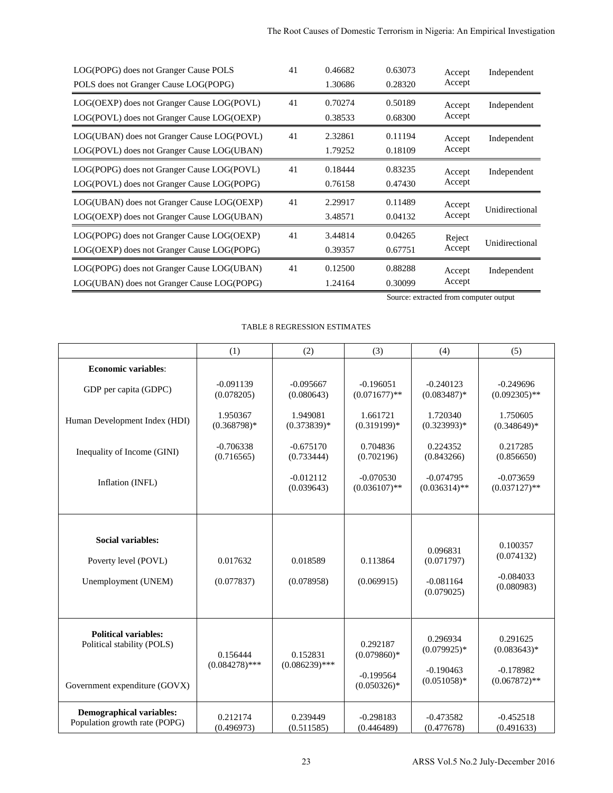| LOG(POPG) does not Granger Cause POLS      | 41 | 0.46682 | 0.63073 | Accept | Independent    |
|--------------------------------------------|----|---------|---------|--------|----------------|
| POLS does not Granger Cause LOG(POPG)      |    | 1.30686 | 0.28320 | Accept |                |
| LOG(OEXP) does not Granger Cause LOG(POVL) | 41 | 0.70274 | 0.50189 | Accept | Independent    |
| LOG(POVL) does not Granger Cause LOG(OEXP) |    | 0.38533 | 0.68300 | Accept |                |
| LOG(UBAN) does not Granger Cause LOG(POVL) | 41 | 2.32861 | 0.11194 | Accept | Independent    |
| LOG(POVL) does not Granger Cause LOG(UBAN) |    | 1.79252 | 0.18109 | Accept |                |
| LOG(POPG) does not Granger Cause LOG(POVL) | 41 | 0.18444 | 0.83235 | Accept | Independent    |
| LOG(POVL) does not Granger Cause LOG(POPG) |    | 0.76158 | 0.47430 | Accept |                |
| LOG(UBAN) does not Granger Cause LOG(OEXP) | 41 | 2.29917 | 0.11489 | Accept | Unidirectional |
| LOG(OEXP) does not Granger Cause LOG(UBAN) |    | 3.48571 | 0.04132 | Accept |                |
| LOG(POPG) does not Granger Cause LOG(OEXP) | 41 | 3.44814 | 0.04265 | Reject |                |
| LOG(OEXP) does not Granger Cause LOG(POPG) |    | 0.39357 | 0.67751 | Accept | Unidirectional |
| LOG(POPG) does not Granger Cause LOG(UBAN) | 41 | 0.12500 | 0.88288 | Accept | Independent    |
| LOG(UBAN) does not Granger Cause LOG(POPG) |    | 1.24164 | 0.30099 | Accept |                |

# TABLE 8 REGRESSION ESTIMATES

|                                                                                          |                              | The Root Causes of Domestic Terrorism in Nigeria: An Empirical Investigation |                                |                                        |                                |
|------------------------------------------------------------------------------------------|------------------------------|------------------------------------------------------------------------------|--------------------------------|----------------------------------------|--------------------------------|
| LOG(POPG) does not Granger Cause POLS<br>POLS does not Granger Cause LOG(POPG)           | 41<br>0.46682<br>1.30686     | 0.63073<br>0.28320                                                           | Accept<br>Accept               | Independent                            |                                |
| LOG(OEXP) does not Granger Cause LOG(POVL)<br>LOG(POVL) does not Granger Cause LOG(OEXP) |                              | 41<br>0.70274<br>0.38533                                                     | 0.50189<br>0.68300             | Accept<br>Accept                       | Independent                    |
| LOG(UBAN) does not Granger Cause LOG(POVL)<br>LOG(POVL) does not Granger Cause LOG(UBAN) |                              | 41<br>2.32861<br>1.79252                                                     | 0.11194<br>0.18109             | Accept<br>Accept                       | Independent                    |
| LOG(POPG) does not Granger Cause LOG(POVL)<br>LOG(POVL) does not Granger Cause LOG(POPG) |                              | 41<br>0.18444<br>0.76158                                                     | 0.83235<br>0.47430             | Accept<br>Accept                       | Independent                    |
| LOG(UBAN) does not Granger Cause LOG(OEXP)<br>LOG(OEXP) does not Granger Cause LOG(UBAN) |                              | 41<br>2.29917<br>3.48571                                                     | 0.11489<br>0.04132             | Accept<br>Accept                       | Unidirectional                 |
| LOG(POPG) does not Granger Cause LOG(OEXP)<br>LOG(OEXP) does not Granger Cause LOG(POPG) |                              | 41<br>3.44814<br>0.39357                                                     | 0.04265<br>0.67751             | Reject<br>Accept                       | Unidirectional                 |
| LOG(POPG) does not Granger Cause LOG(UBAN)<br>LOG(UBAN) does not Granger Cause LOG(POPG) |                              | 41<br>0.12500<br>1.24164                                                     | 0.88288<br>0.30099             | Accept<br>Accept                       | Independent                    |
|                                                                                          |                              |                                                                              |                                | Source: extracted from computer output |                                |
|                                                                                          |                              | <b>TABLE 8 REGRESSION ESTIMATES</b>                                          |                                |                                        |                                |
|                                                                                          | (1)                          | (2)                                                                          | (3)                            | (4)                                    | (5)                            |
| <b>Economic variables:</b><br>GDP per capita (GDPC)                                      | $-0.091139$<br>(0.078205)    | $-0.095667$<br>(0.080643)                                                    | $-0.196051$<br>$(0.071677)$ ** | $-0.240123$<br>$(0.083487)*$           | $-0.249696$<br>$(0.092305)$ ** |
| Human Development Index (HDI)                                                            | 1.950367<br>$(0.368798)*$    | 1.949081<br>$(0.373839)*$                                                    | 1.661721<br>$(0.319199)*$      | 1.720340<br>$(0.323993)*$              | 1.750605<br>$(0.348649)*$      |
| Inequality of Income (GINI)                                                              | $-0.706338$<br>(0.716565)    | $-0.675170$<br>(0.733444)                                                    | 0.704836<br>(0.702196)         | 0.224352<br>(0.843266)                 | 0.217285<br>(0.856650)         |
| Inflation (INFL)                                                                         |                              | $-0.012112$<br>(0.039643)                                                    | $-0.070530$<br>$(0.036107)$ ** | $-0.074795$<br>$(0.036314)$ **         | $-0.073659$<br>$(0.037127)$ ** |
| <b>Social variables:</b>                                                                 |                              |                                                                              |                                |                                        | 0.100357                       |
| Poverty level (POVL)                                                                     | 0.017632                     | 0.018589                                                                     | 0.113864                       | 0.096831<br>(0.071797)                 | (0.074132)                     |
| Unemployment (UNEM)                                                                      | (0.077837)                   | (0.078958)                                                                   | (0.069915)                     | $-0.081164$<br>(0.079025)              | $-0.084033$<br>(0.080983)      |
| <b>Political variables:</b><br>Political stability (POLS)                                | 0.156444<br>$(0.084278)$ *** | 0.152831<br>$(0.086239)$ ***                                                 | 0.292187<br>$(0.079860)*$      | 0.296934<br>$(0.079925)*$              | 0.291625<br>$(0.083643)*$      |
| Government expenditure (GOVX)                                                            |                              |                                                                              | $-0.199564$<br>$(0.050326)*$   | $-0.190463$<br>$(0.051058)*$           | $-0.178982$<br>$(0.067872)$ ** |
| <b>Demographical variables:</b><br>Population growth rate (POPG)                         | 0.212174<br>(0.496973)       | 0.239449<br>(0.511585)                                                       | $-0.298183$<br>(0.446489)      | $-0.473582$<br>(0.477678)              | $-0.452518$<br>(0.491633)      |
|                                                                                          |                              | 23                                                                           |                                | ARSS Vol.5 No.2 July-December 2016     |                                |